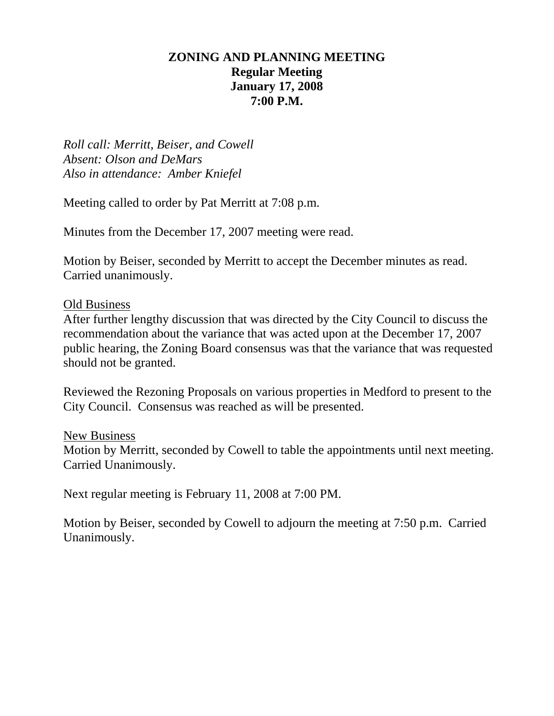## **ZONING AND PLANNING MEETING Regular Meeting January 17, 2008 7:00 P.M.**

*Roll call: Merritt, Beiser, and Cowell Absent: Olson and DeMars Also in attendance: Amber Kniefel* 

Meeting called to order by Pat Merritt at 7:08 p.m.

Minutes from the December 17, 2007 meeting were read.

Motion by Beiser, seconded by Merritt to accept the December minutes as read. Carried unanimously.

#### Old Business

After further lengthy discussion that was directed by the City Council to discuss the recommendation about the variance that was acted upon at the December 17, 2007 public hearing, the Zoning Board consensus was that the variance that was requested should not be granted.

Reviewed the Rezoning Proposals on various properties in Medford to present to the City Council. Consensus was reached as will be presented.

#### New Business

Motion by Merritt, seconded by Cowell to table the appointments until next meeting. Carried Unanimously.

Next regular meeting is February 11, 2008 at 7:00 PM.

Motion by Beiser, seconded by Cowell to adjourn the meeting at 7:50 p.m. Carried Unanimously.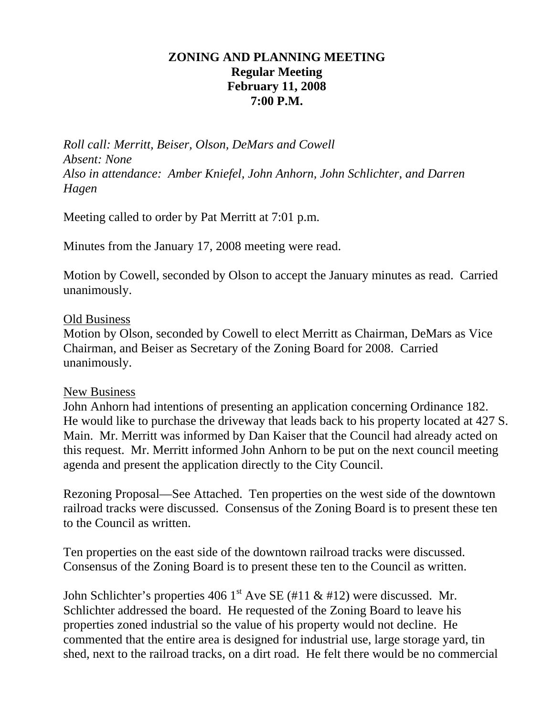## **ZONING AND PLANNING MEETING Regular Meeting February 11, 2008 7:00 P.M.**

*Roll call: Merritt, Beiser, Olson, DeMars and Cowell Absent: None Also in attendance: Amber Kniefel, John Anhorn, John Schlichter, and Darren Hagen* 

Meeting called to order by Pat Merritt at 7:01 p.m.

Minutes from the January 17, 2008 meeting were read.

Motion by Cowell, seconded by Olson to accept the January minutes as read. Carried unanimously.

#### Old Business

Motion by Olson, seconded by Cowell to elect Merritt as Chairman, DeMars as Vice Chairman, and Beiser as Secretary of the Zoning Board for 2008. Carried unanimously.

#### New Business

John Anhorn had intentions of presenting an application concerning Ordinance 182. He would like to purchase the driveway that leads back to his property located at 427 S. Main. Mr. Merritt was informed by Dan Kaiser that the Council had already acted on this request. Mr. Merritt informed John Anhorn to be put on the next council meeting agenda and present the application directly to the City Council.

Rezoning Proposal—See Attached. Ten properties on the west side of the downtown railroad tracks were discussed. Consensus of the Zoning Board is to present these ten to the Council as written.

Ten properties on the east side of the downtown railroad tracks were discussed. Consensus of the Zoning Board is to present these ten to the Council as written.

John Schlichter's properties 406 1<sup>st</sup> Ave SE (#11 & #12) were discussed. Mr. Schlichter addressed the board. He requested of the Zoning Board to leave his properties zoned industrial so the value of his property would not decline. He commented that the entire area is designed for industrial use, large storage yard, tin shed, next to the railroad tracks, on a dirt road. He felt there would be no commercial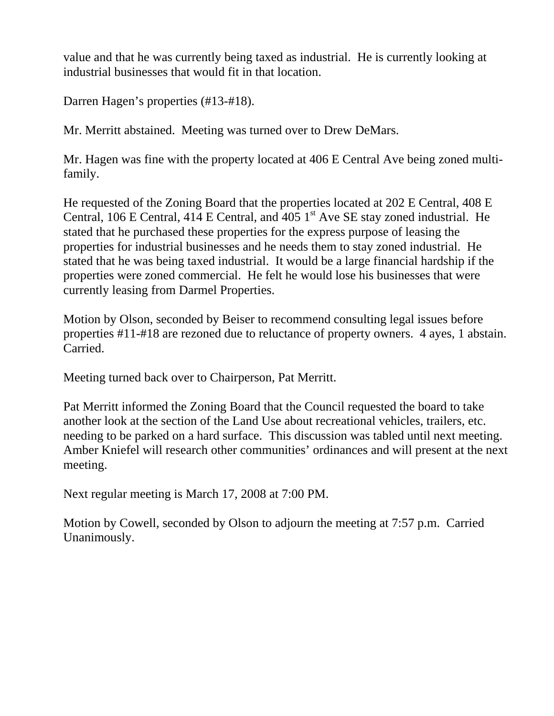value and that he was currently being taxed as industrial. He is currently looking at industrial businesses that would fit in that location.

Darren Hagen's properties (#13-#18).

Mr. Merritt abstained. Meeting was turned over to Drew DeMars.

Mr. Hagen was fine with the property located at 406 E Central Ave being zoned multifamily.

He requested of the Zoning Board that the properties located at 202 E Central, 408 E Central, 106 E Central, 414 E Central, and 405  $1<sup>st</sup>$  Ave SE stay zoned industrial. He stated that he purchased these properties for the express purpose of leasing the properties for industrial businesses and he needs them to stay zoned industrial. He stated that he was being taxed industrial. It would be a large financial hardship if the properties were zoned commercial. He felt he would lose his businesses that were currently leasing from Darmel Properties.

Motion by Olson, seconded by Beiser to recommend consulting legal issues before properties #11-#18 are rezoned due to reluctance of property owners. 4 ayes, 1 abstain. Carried.

Meeting turned back over to Chairperson, Pat Merritt.

Pat Merritt informed the Zoning Board that the Council requested the board to take another look at the section of the Land Use about recreational vehicles, trailers, etc. needing to be parked on a hard surface. This discussion was tabled until next meeting. Amber Kniefel will research other communities' ordinances and will present at the next meeting.

Next regular meeting is March 17, 2008 at 7:00 PM.

Motion by Cowell, seconded by Olson to adjourn the meeting at 7:57 p.m. Carried Unanimously.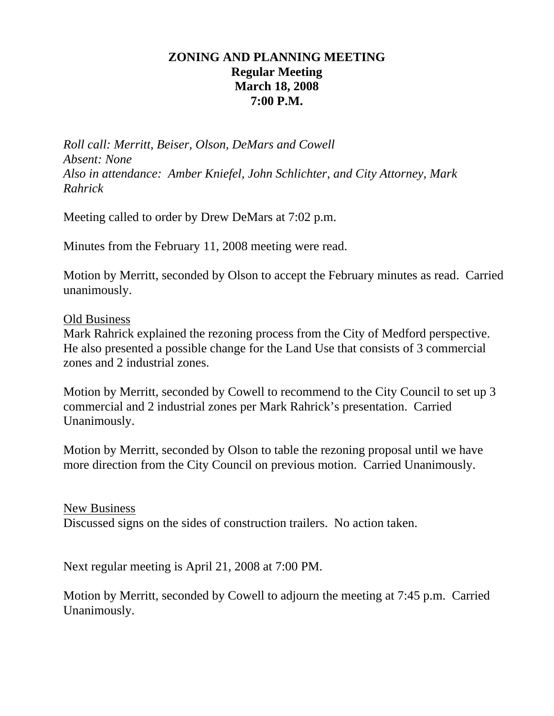## **ZONING AND PLANNING MEETING Regular Meeting March 18, 2008 7:00 P.M.**

*Roll call: Merritt, Beiser, Olson, DeMars and Cowell Absent: None Also in attendance: Amber Kniefel, John Schlichter, and City Attorney, Mark Rahrick* 

Meeting called to order by Drew DeMars at 7:02 p.m.

Minutes from the February 11, 2008 meeting were read.

Motion by Merritt, seconded by Olson to accept the February minutes as read. Carried unanimously.

Old Business

Mark Rahrick explained the rezoning process from the City of Medford perspective. He also presented a possible change for the Land Use that consists of 3 commercial zones and 2 industrial zones.

Motion by Merritt, seconded by Cowell to recommend to the City Council to set up 3 commercial and 2 industrial zones per Mark Rahrick's presentation. Carried Unanimously.

Motion by Merritt, seconded by Olson to table the rezoning proposal until we have more direction from the City Council on previous motion. Carried Unanimously.

New Business Discussed signs on the sides of construction trailers. No action taken.

Next regular meeting is April 21, 2008 at 7:00 PM.

Motion by Merritt, seconded by Cowell to adjourn the meeting at 7:45 p.m. Carried Unanimously.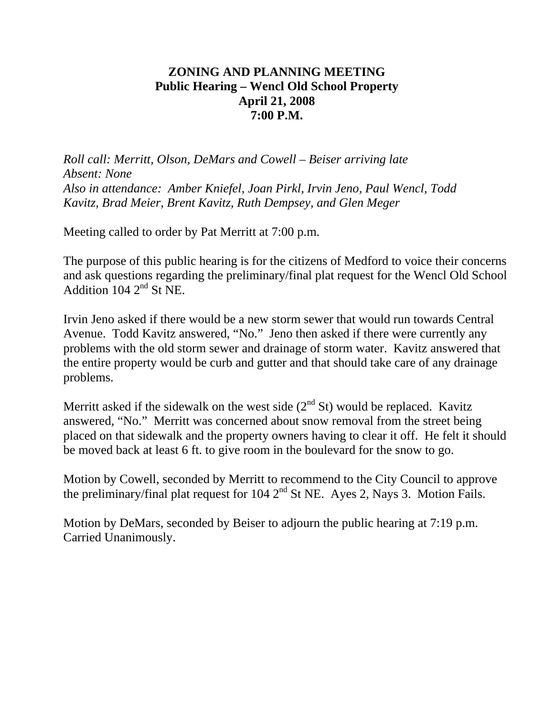# **ZONING AND PLANNING MEETING Public Hearing – Wencl Old School Property April 21, 2008 7:00 P.M.**

*Roll call: Merritt, Olson, DeMars and Cowell – Beiser arriving late Absent: None Also in attendance: Amber Kniefel, Joan Pirkl, Irvin Jeno, Paul Wencl, Todd Kavitz, Brad Meier, Brent Kavitz, Ruth Dempsey, and Glen Meger* 

Meeting called to order by Pat Merritt at 7:00 p.m.

The purpose of this public hearing is for the citizens of Medford to voice their concerns and ask questions regarding the preliminary/final plat request for the Wencl Old School Addition  $104 \, 2^{nd}$  St NE.

Irvin Jeno asked if there would be a new storm sewer that would run towards Central Avenue. Todd Kavitz answered, "No." Jeno then asked if there were currently any problems with the old storm sewer and drainage of storm water. Kavitz answered that the entire property would be curb and gutter and that should take care of any drainage problems.

Merritt asked if the sidewalk on the west side  $(2<sup>nd</sup> St)$  would be replaced. Kavitz answered, "No." Merritt was concerned about snow removal from the street being placed on that sidewalk and the property owners having to clear it off. He felt it should be moved back at least 6 ft. to give room in the boulevard for the snow to go.

Motion by Cowell, seconded by Merritt to recommend to the City Council to approve the preliminary/final plat request for  $104 \, 2^{nd}$  St NE. Ayes 2, Nays 3. Motion Fails.

Motion by DeMars, seconded by Beiser to adjourn the public hearing at 7:19 p.m. Carried Unanimously.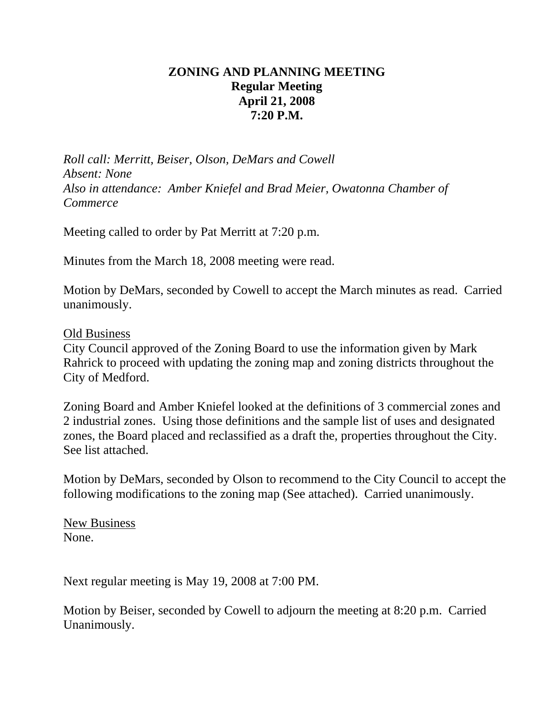# **ZONING AND PLANNING MEETING Regular Meeting April 21, 2008 7:20 P.M.**

*Roll call: Merritt, Beiser, Olson, DeMars and Cowell Absent: None Also in attendance: Amber Kniefel and Brad Meier, Owatonna Chamber of Commerce* 

Meeting called to order by Pat Merritt at 7:20 p.m.

Minutes from the March 18, 2008 meeting were read.

Motion by DeMars, seconded by Cowell to accept the March minutes as read. Carried unanimously.

Old Business

City Council approved of the Zoning Board to use the information given by Mark Rahrick to proceed with updating the zoning map and zoning districts throughout the City of Medford.

Zoning Board and Amber Kniefel looked at the definitions of 3 commercial zones and 2 industrial zones. Using those definitions and the sample list of uses and designated zones, the Board placed and reclassified as a draft the, properties throughout the City. See list attached.

Motion by DeMars, seconded by Olson to recommend to the City Council to accept the following modifications to the zoning map (See attached). Carried unanimously.

New Business None.

Next regular meeting is May 19, 2008 at 7:00 PM.

Motion by Beiser, seconded by Cowell to adjourn the meeting at 8:20 p.m. Carried Unanimously.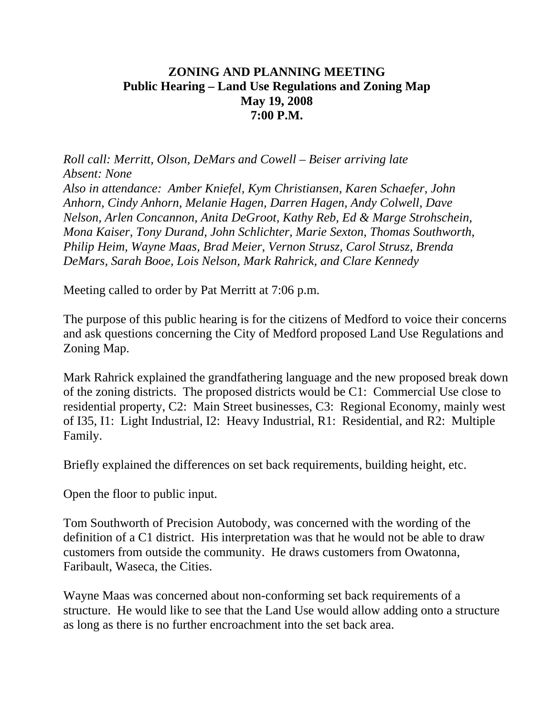# **ZONING AND PLANNING MEETING Public Hearing – Land Use Regulations and Zoning Map May 19, 2008 7:00 P.M.**

*Roll call: Merritt, Olson, DeMars and Cowell – Beiser arriving late Absent: None Also in attendance: Amber Kniefel, Kym Christiansen, Karen Schaefer, John Anhorn, Cindy Anhorn, Melanie Hagen, Darren Hagen, Andy Colwell, Dave Nelson, Arlen Concannon, Anita DeGroot, Kathy Reb, Ed & Marge Strohschein, Mona Kaiser, Tony Durand, John Schlichter, Marie Sexton, Thomas Southworth, Philip Heim, Wayne Maas, Brad Meier, Vernon Strusz, Carol Strusz, Brenda DeMars, Sarah Booe, Lois Nelson, Mark Rahrick, and Clare Kennedy* 

Meeting called to order by Pat Merritt at 7:06 p.m.

The purpose of this public hearing is for the citizens of Medford to voice their concerns and ask questions concerning the City of Medford proposed Land Use Regulations and Zoning Map.

Mark Rahrick explained the grandfathering language and the new proposed break down of the zoning districts. The proposed districts would be C1: Commercial Use close to residential property, C2: Main Street businesses, C3: Regional Economy, mainly west of I35, I1: Light Industrial, I2: Heavy Industrial, R1: Residential, and R2: Multiple Family.

Briefly explained the differences on set back requirements, building height, etc.

Open the floor to public input.

Tom Southworth of Precision Autobody, was concerned with the wording of the definition of a C1 district. His interpretation was that he would not be able to draw customers from outside the community. He draws customers from Owatonna, Faribault, Waseca, the Cities.

Wayne Maas was concerned about non-conforming set back requirements of a structure. He would like to see that the Land Use would allow adding onto a structure as long as there is no further encroachment into the set back area.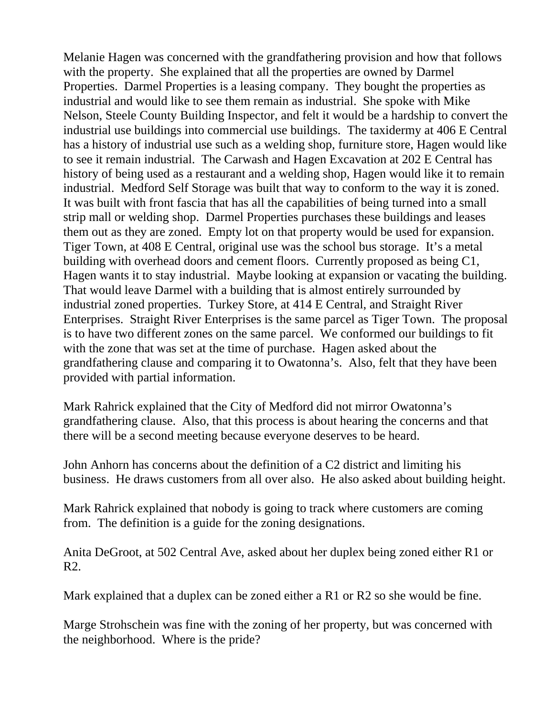Melanie Hagen was concerned with the grandfathering provision and how that follows with the property. She explained that all the properties are owned by Darmel Properties. Darmel Properties is a leasing company. They bought the properties as industrial and would like to see them remain as industrial. She spoke with Mike Nelson, Steele County Building Inspector, and felt it would be a hardship to convert the industrial use buildings into commercial use buildings. The taxidermy at 406 E Central has a history of industrial use such as a welding shop, furniture store, Hagen would like to see it remain industrial. The Carwash and Hagen Excavation at 202 E Central has history of being used as a restaurant and a welding shop, Hagen would like it to remain industrial. Medford Self Storage was built that way to conform to the way it is zoned. It was built with front fascia that has all the capabilities of being turned into a small strip mall or welding shop. Darmel Properties purchases these buildings and leases them out as they are zoned. Empty lot on that property would be used for expansion. Tiger Town, at 408 E Central, original use was the school bus storage. It's a metal building with overhead doors and cement floors. Currently proposed as being C1, Hagen wants it to stay industrial. Maybe looking at expansion or vacating the building. That would leave Darmel with a building that is almost entirely surrounded by industrial zoned properties. Turkey Store, at 414 E Central, and Straight River Enterprises. Straight River Enterprises is the same parcel as Tiger Town. The proposal is to have two different zones on the same parcel. We conformed our buildings to fit with the zone that was set at the time of purchase. Hagen asked about the grandfathering clause and comparing it to Owatonna's. Also, felt that they have been provided with partial information.

Mark Rahrick explained that the City of Medford did not mirror Owatonna's grandfathering clause. Also, that this process is about hearing the concerns and that there will be a second meeting because everyone deserves to be heard.

John Anhorn has concerns about the definition of a C2 district and limiting his business. He draws customers from all over also. He also asked about building height.

Mark Rahrick explained that nobody is going to track where customers are coming from. The definition is a guide for the zoning designations.

Anita DeGroot, at 502 Central Ave, asked about her duplex being zoned either R1 or R2.

Mark explained that a duplex can be zoned either a R1 or R2 so she would be fine.

Marge Strohschein was fine with the zoning of her property, but was concerned with the neighborhood. Where is the pride?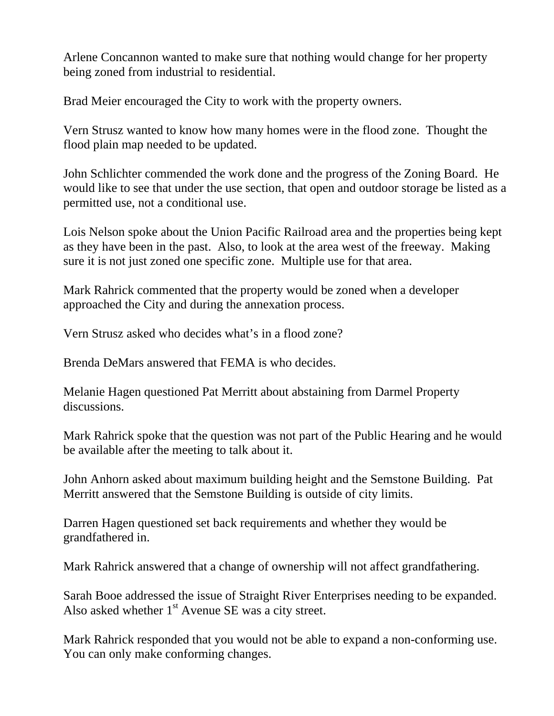Arlene Concannon wanted to make sure that nothing would change for her property being zoned from industrial to residential.

Brad Meier encouraged the City to work with the property owners.

Vern Strusz wanted to know how many homes were in the flood zone. Thought the flood plain map needed to be updated.

John Schlichter commended the work done and the progress of the Zoning Board. He would like to see that under the use section, that open and outdoor storage be listed as a permitted use, not a conditional use.

Lois Nelson spoke about the Union Pacific Railroad area and the properties being kept as they have been in the past. Also, to look at the area west of the freeway. Making sure it is not just zoned one specific zone. Multiple use for that area.

Mark Rahrick commented that the property would be zoned when a developer approached the City and during the annexation process.

Vern Strusz asked who decides what's in a flood zone?

Brenda DeMars answered that FEMA is who decides.

Melanie Hagen questioned Pat Merritt about abstaining from Darmel Property discussions.

Mark Rahrick spoke that the question was not part of the Public Hearing and he would be available after the meeting to talk about it.

John Anhorn asked about maximum building height and the Semstone Building. Pat Merritt answered that the Semstone Building is outside of city limits.

Darren Hagen questioned set back requirements and whether they would be grandfathered in.

Mark Rahrick answered that a change of ownership will not affect grandfathering.

Sarah Booe addressed the issue of Straight River Enterprises needing to be expanded. Also asked whether  $1<sup>st</sup>$  Avenue SE was a city street.

Mark Rahrick responded that you would not be able to expand a non-conforming use. You can only make conforming changes.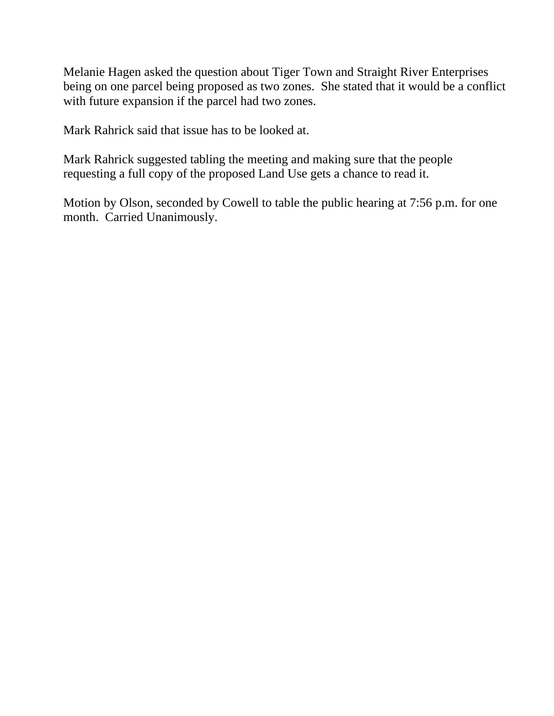Melanie Hagen asked the question about Tiger Town and Straight River Enterprises being on one parcel being proposed as two zones. She stated that it would be a conflict with future expansion if the parcel had two zones.

Mark Rahrick said that issue has to be looked at.

Mark Rahrick suggested tabling the meeting and making sure that the people requesting a full copy of the proposed Land Use gets a chance to read it.

Motion by Olson, seconded by Cowell to table the public hearing at 7:56 p.m. for one month. Carried Unanimously.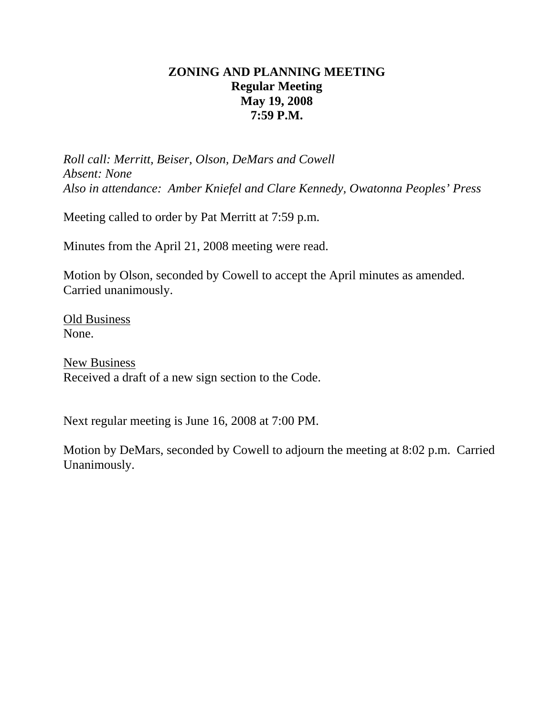# **ZONING AND PLANNING MEETING Regular Meeting May 19, 2008 7:59 P.M.**

*Roll call: Merritt, Beiser, Olson, DeMars and Cowell Absent: None Also in attendance: Amber Kniefel and Clare Kennedy, Owatonna Peoples' Press* 

Meeting called to order by Pat Merritt at 7:59 p.m.

Minutes from the April 21, 2008 meeting were read.

Motion by Olson, seconded by Cowell to accept the April minutes as amended. Carried unanimously.

Old Business None.

New Business Received a draft of a new sign section to the Code.

Next regular meeting is June 16, 2008 at 7:00 PM.

Motion by DeMars, seconded by Cowell to adjourn the meeting at 8:02 p.m. Carried Unanimously.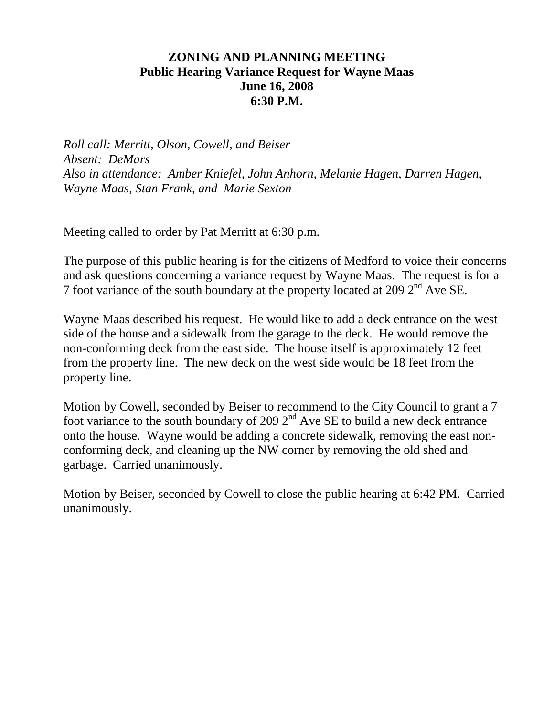## **ZONING AND PLANNING MEETING Public Hearing Variance Request for Wayne Maas June 16, 2008 6:30 P.M.**

*Roll call: Merritt, Olson, Cowell, and Beiser Absent: DeMars Also in attendance: Amber Kniefel, John Anhorn, Melanie Hagen, Darren Hagen, Wayne Maas, Stan Frank, and Marie Sexton*

Meeting called to order by Pat Merritt at 6:30 p.m.

The purpose of this public hearing is for the citizens of Medford to voice their concerns and ask questions concerning a variance request by Wayne Maas. The request is for a 7 foot variance of the south boundary at the property located at 209 2nd Ave SE.

Wayne Maas described his request. He would like to add a deck entrance on the west side of the house and a sidewalk from the garage to the deck. He would remove the non-conforming deck from the east side. The house itself is approximately 12 feet from the property line. The new deck on the west side would be 18 feet from the property line.

Motion by Cowell, seconded by Beiser to recommend to the City Council to grant a 7 foot variance to the south boundary of 209  $2<sup>nd</sup>$  Ave SE to build a new deck entrance onto the house. Wayne would be adding a concrete sidewalk, removing the east nonconforming deck, and cleaning up the NW corner by removing the old shed and garbage. Carried unanimously.

Motion by Beiser, seconded by Cowell to close the public hearing at 6:42 PM. Carried unanimously.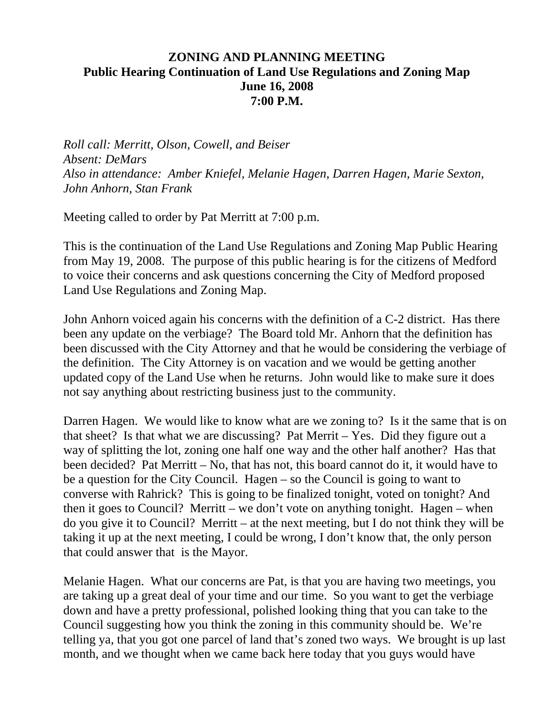## **ZONING AND PLANNING MEETING Public Hearing Continuation of Land Use Regulations and Zoning Map June 16, 2008 7:00 P.M.**

*Roll call: Merritt, Olson, Cowell, and Beiser Absent: DeMars Also in attendance: Amber Kniefel, Melanie Hagen, Darren Hagen, Marie Sexton, John Anhorn, Stan Frank* 

Meeting called to order by Pat Merritt at 7:00 p.m.

This is the continuation of the Land Use Regulations and Zoning Map Public Hearing from May 19, 2008. The purpose of this public hearing is for the citizens of Medford to voice their concerns and ask questions concerning the City of Medford proposed Land Use Regulations and Zoning Map.

John Anhorn voiced again his concerns with the definition of a C-2 district. Has there been any update on the verbiage? The Board told Mr. Anhorn that the definition has been discussed with the City Attorney and that he would be considering the verbiage of the definition. The City Attorney is on vacation and we would be getting another updated copy of the Land Use when he returns. John would like to make sure it does not say anything about restricting business just to the community.

Darren Hagen. We would like to know what are we zoning to? Is it the same that is on that sheet? Is that what we are discussing? Pat Merrit – Yes. Did they figure out a way of splitting the lot, zoning one half one way and the other half another? Has that been decided? Pat Merritt – No, that has not, this board cannot do it, it would have to be a question for the City Council. Hagen – so the Council is going to want to converse with Rahrick? This is going to be finalized tonight, voted on tonight? And then it goes to Council? Merritt – we don't vote on anything tonight. Hagen – when do you give it to Council? Merritt – at the next meeting, but I do not think they will be taking it up at the next meeting, I could be wrong, I don't know that, the only person that could answer that is the Mayor.

Melanie Hagen. What our concerns are Pat, is that you are having two meetings, you are taking up a great deal of your time and our time. So you want to get the verbiage down and have a pretty professional, polished looking thing that you can take to the Council suggesting how you think the zoning in this community should be. We're telling ya, that you got one parcel of land that's zoned two ways. We brought is up last month, and we thought when we came back here today that you guys would have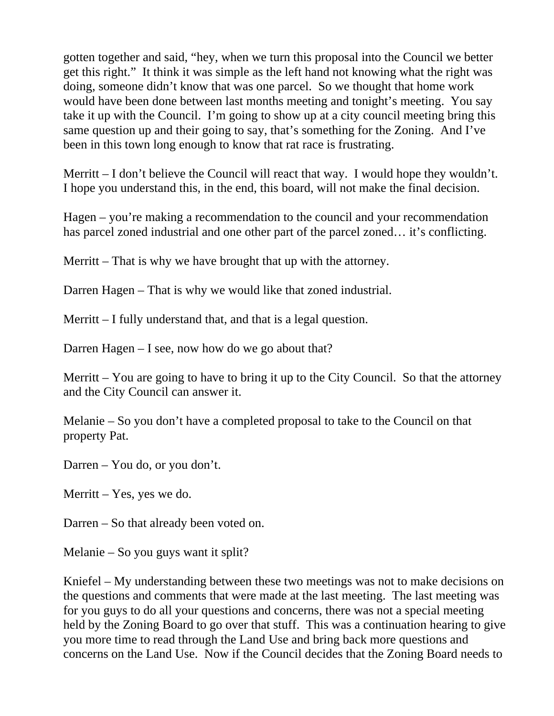gotten together and said, "hey, when we turn this proposal into the Council we better get this right." It think it was simple as the left hand not knowing what the right was doing, someone didn't know that was one parcel. So we thought that home work would have been done between last months meeting and tonight's meeting. You say take it up with the Council. I'm going to show up at a city council meeting bring this same question up and their going to say, that's something for the Zoning. And I've been in this town long enough to know that rat race is frustrating.

Merritt – I don't believe the Council will react that way. I would hope they wouldn't. I hope you understand this, in the end, this board, will not make the final decision.

Hagen – you're making a recommendation to the council and your recommendation has parcel zoned industrial and one other part of the parcel zoned... it's conflicting.

Merritt – That is why we have brought that up with the attorney.

Darren Hagen – That is why we would like that zoned industrial.

Merritt – I fully understand that, and that is a legal question.

Darren Hagen – I see, now how do we go about that?

Merritt – You are going to have to bring it up to the City Council. So that the attorney and the City Council can answer it.

Melanie – So you don't have a completed proposal to take to the Council on that property Pat.

Darren – You do, or you don't.

Merritt – Yes, yes we do.

Darren – So that already been voted on.

Melanie – So you guys want it split?

Kniefel – My understanding between these two meetings was not to make decisions on the questions and comments that were made at the last meeting. The last meeting was for you guys to do all your questions and concerns, there was not a special meeting held by the Zoning Board to go over that stuff. This was a continuation hearing to give you more time to read through the Land Use and bring back more questions and concerns on the Land Use. Now if the Council decides that the Zoning Board needs to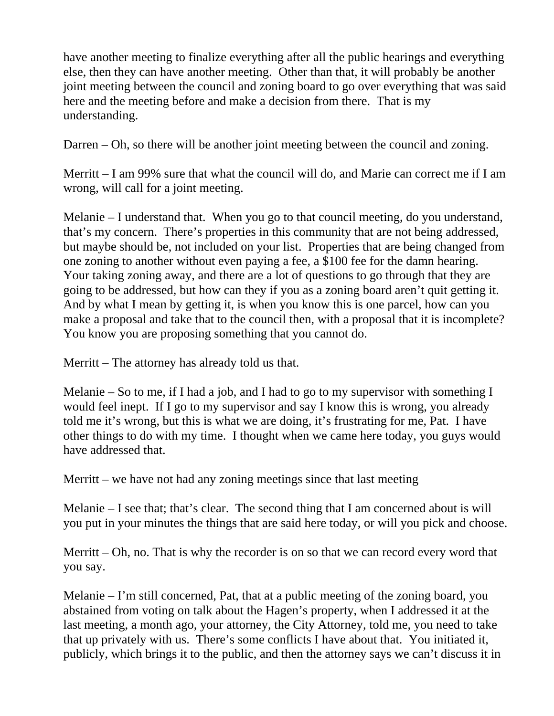have another meeting to finalize everything after all the public hearings and everything else, then they can have another meeting. Other than that, it will probably be another joint meeting between the council and zoning board to go over everything that was said here and the meeting before and make a decision from there. That is my understanding.

Darren – Oh, so there will be another joint meeting between the council and zoning.

Merritt – I am 99% sure that what the council will do, and Marie can correct me if I am wrong, will call for a joint meeting.

Melanie – I understand that. When you go to that council meeting, do you understand, that's my concern. There's properties in this community that are not being addressed, but maybe should be, not included on your list. Properties that are being changed from one zoning to another without even paying a fee, a \$100 fee for the damn hearing. Your taking zoning away, and there are a lot of questions to go through that they are going to be addressed, but how can they if you as a zoning board aren't quit getting it. And by what I mean by getting it, is when you know this is one parcel, how can you make a proposal and take that to the council then, with a proposal that it is incomplete? You know you are proposing something that you cannot do.

Merritt – The attorney has already told us that.

Melanie – So to me, if I had a job, and I had to go to my supervisor with something I would feel inept. If I go to my supervisor and say I know this is wrong, you already told me it's wrong, but this is what we are doing, it's frustrating for me, Pat. I have other things to do with my time. I thought when we came here today, you guys would have addressed that.

Merritt – we have not had any zoning meetings since that last meeting

Melanie – I see that; that's clear. The second thing that I am concerned about is will you put in your minutes the things that are said here today, or will you pick and choose.

Merritt – Oh, no. That is why the recorder is on so that we can record every word that you say.

Melanie – I'm still concerned, Pat, that at a public meeting of the zoning board, you abstained from voting on talk about the Hagen's property, when I addressed it at the last meeting, a month ago, your attorney, the City Attorney, told me, you need to take that up privately with us. There's some conflicts I have about that. You initiated it, publicly, which brings it to the public, and then the attorney says we can't discuss it in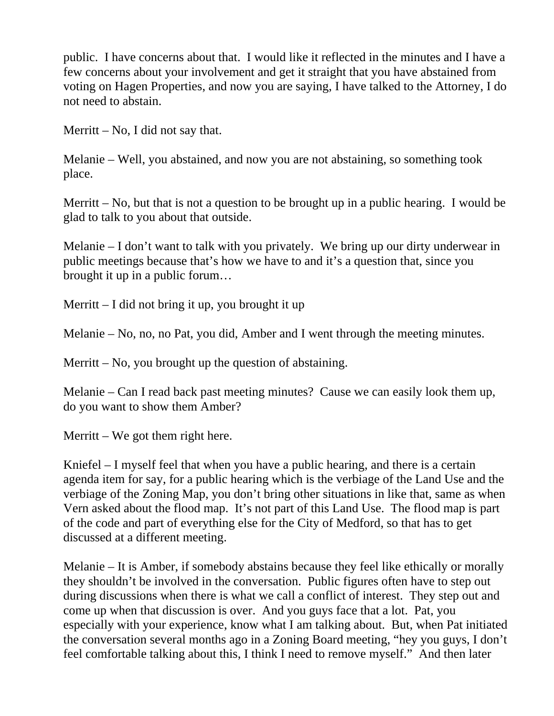public. I have concerns about that. I would like it reflected in the minutes and I have a few concerns about your involvement and get it straight that you have abstained from voting on Hagen Properties, and now you are saying, I have talked to the Attorney, I do not need to abstain.

Merritt – No, I did not say that.

Melanie – Well, you abstained, and now you are not abstaining, so something took place.

Merritt – No, but that is not a question to be brought up in a public hearing. I would be glad to talk to you about that outside.

Melanie – I don't want to talk with you privately. We bring up our dirty underwear in public meetings because that's how we have to and it's a question that, since you brought it up in a public forum…

Merritt – I did not bring it up, you brought it up

Melanie – No, no, no Pat, you did, Amber and I went through the meeting minutes.

Merritt – No, you brought up the question of abstaining.

Melanie – Can I read back past meeting minutes? Cause we can easily look them up, do you want to show them Amber?

Merritt – We got them right here.

Kniefel – I myself feel that when you have a public hearing, and there is a certain agenda item for say, for a public hearing which is the verbiage of the Land Use and the verbiage of the Zoning Map, you don't bring other situations in like that, same as when Vern asked about the flood map. It's not part of this Land Use. The flood map is part of the code and part of everything else for the City of Medford, so that has to get discussed at a different meeting.

Melanie – It is Amber, if somebody abstains because they feel like ethically or morally they shouldn't be involved in the conversation. Public figures often have to step out during discussions when there is what we call a conflict of interest. They step out and come up when that discussion is over. And you guys face that a lot. Pat, you especially with your experience, know what I am talking about. But, when Pat initiated the conversation several months ago in a Zoning Board meeting, "hey you guys, I don't feel comfortable talking about this, I think I need to remove myself." And then later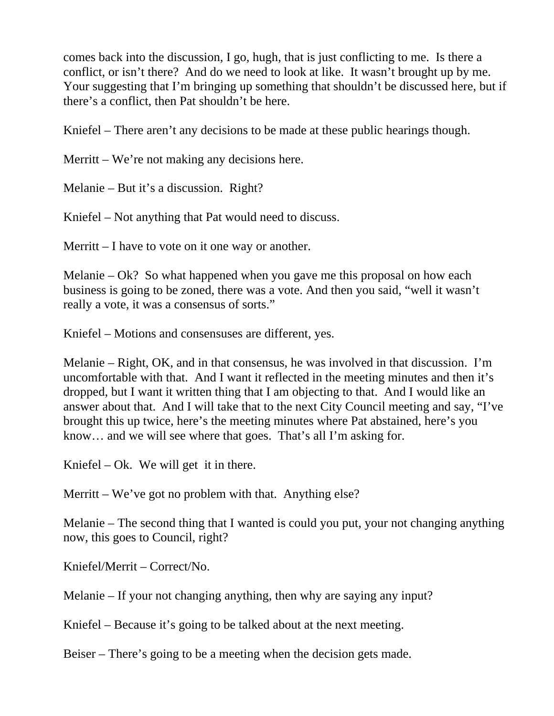comes back into the discussion, I go, hugh, that is just conflicting to me. Is there a conflict, or isn't there? And do we need to look at like. It wasn't brought up by me. Your suggesting that I'm bringing up something that shouldn't be discussed here, but if there's a conflict, then Pat shouldn't be here.

Kniefel – There aren't any decisions to be made at these public hearings though.

Merritt – We're not making any decisions here.

Melanie – But it's a discussion. Right?

Kniefel – Not anything that Pat would need to discuss.

Merritt – I have to vote on it one way or another.

Melanie – Ok? So what happened when you gave me this proposal on how each business is going to be zoned, there was a vote. And then you said, "well it wasn't really a vote, it was a consensus of sorts."

Kniefel – Motions and consensuses are different, yes.

Melanie – Right, OK, and in that consensus, he was involved in that discussion. I'm uncomfortable with that. And I want it reflected in the meeting minutes and then it's dropped, but I want it written thing that I am objecting to that. And I would like an answer about that. And I will take that to the next City Council meeting and say, "I've brought this up twice, here's the meeting minutes where Pat abstained, here's you know… and we will see where that goes. That's all I'm asking for.

Kniefel – Ok. We will get it in there.

Merritt – We've got no problem with that. Anything else?

Melanie – The second thing that I wanted is could you put, your not changing anything now, this goes to Council, right?

Kniefel/Merrit – Correct/No.

Melanie – If your not changing anything, then why are saying any input?

Kniefel – Because it's going to be talked about at the next meeting.

Beiser – There's going to be a meeting when the decision gets made.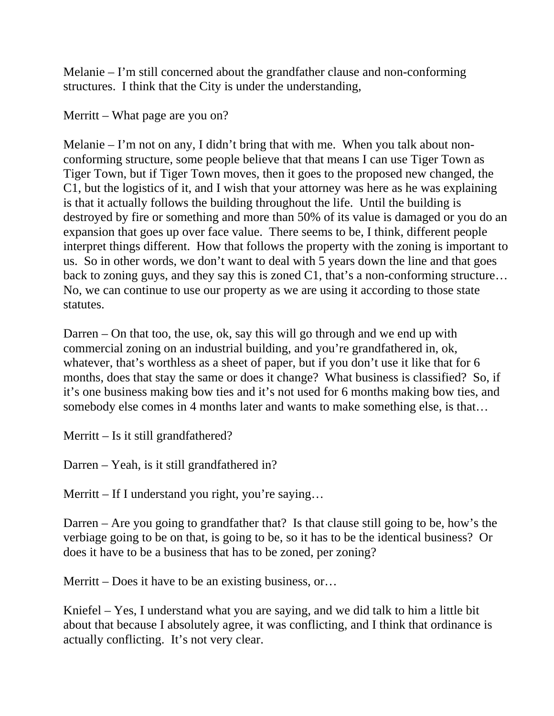Melanie – I'm still concerned about the grandfather clause and non-conforming structures. I think that the City is under the understanding,

Merritt – What page are you on?

Melanie – I'm not on any, I didn't bring that with me. When you talk about nonconforming structure, some people believe that that means I can use Tiger Town as Tiger Town, but if Tiger Town moves, then it goes to the proposed new changed, the C1, but the logistics of it, and I wish that your attorney was here as he was explaining is that it actually follows the building throughout the life. Until the building is destroyed by fire or something and more than 50% of its value is damaged or you do an expansion that goes up over face value. There seems to be, I think, different people interpret things different. How that follows the property with the zoning is important to us. So in other words, we don't want to deal with 5 years down the line and that goes back to zoning guys, and they say this is zoned C1, that's a non-conforming structure... No, we can continue to use our property as we are using it according to those state statutes.

Darren – On that too, the use, ok, say this will go through and we end up with commercial zoning on an industrial building, and you're grandfathered in, ok, whatever, that's worthless as a sheet of paper, but if you don't use it like that for 6 months, does that stay the same or does it change? What business is classified? So, if it's one business making bow ties and it's not used for 6 months making bow ties, and somebody else comes in 4 months later and wants to make something else, is that…

Merritt – Is it still grandfathered?

Darren – Yeah, is it still grandfathered in?

Merritt – If I understand you right, you're saying...

Darren – Are you going to grandfather that? Is that clause still going to be, how's the verbiage going to be on that, is going to be, so it has to be the identical business? Or does it have to be a business that has to be zoned, per zoning?

Merritt – Does it have to be an existing business, or...

Kniefel – Yes, I understand what you are saying, and we did talk to him a little bit about that because I absolutely agree, it was conflicting, and I think that ordinance is actually conflicting. It's not very clear.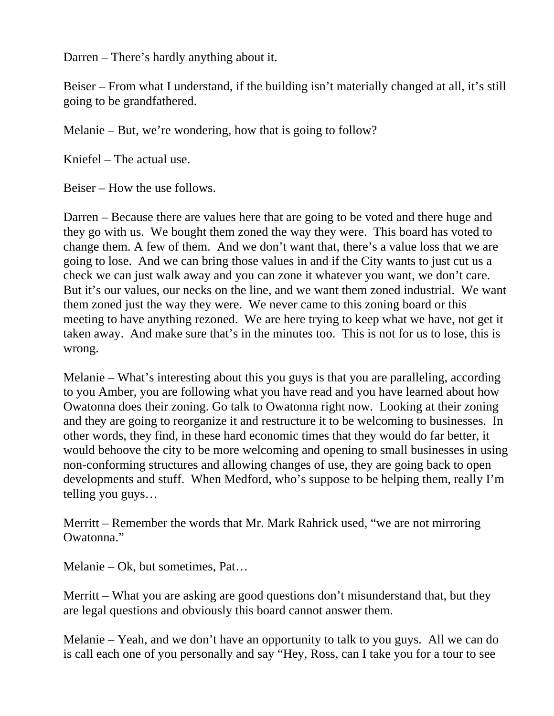Darren – There's hardly anything about it.

Beiser – From what I understand, if the building isn't materially changed at all, it's still going to be grandfathered.

Melanie – But, we're wondering, how that is going to follow?

Kniefel – The actual use.

Beiser – How the use follows.

Darren – Because there are values here that are going to be voted and there huge and they go with us. We bought them zoned the way they were. This board has voted to change them. A few of them. And we don't want that, there's a value loss that we are going to lose. And we can bring those values in and if the City wants to just cut us a check we can just walk away and you can zone it whatever you want, we don't care. But it's our values, our necks on the line, and we want them zoned industrial. We want them zoned just the way they were. We never came to this zoning board or this meeting to have anything rezoned. We are here trying to keep what we have, not get it taken away. And make sure that's in the minutes too. This is not for us to lose, this is wrong.

Melanie – What's interesting about this you guys is that you are paralleling, according to you Amber, you are following what you have read and you have learned about how Owatonna does their zoning. Go talk to Owatonna right now. Looking at their zoning and they are going to reorganize it and restructure it to be welcoming to businesses. In other words, they find, in these hard economic times that they would do far better, it would behoove the city to be more welcoming and opening to small businesses in using non-conforming structures and allowing changes of use, they are going back to open developments and stuff. When Medford, who's suppose to be helping them, really I'm telling you guys…

Merritt – Remember the words that Mr. Mark Rahrick used, "we are not mirroring Owatonna."

Melanie – Ok, but sometimes, Pat…

Merritt – What you are asking are good questions don't misunderstand that, but they are legal questions and obviously this board cannot answer them.

Melanie – Yeah, and we don't have an opportunity to talk to you guys. All we can do is call each one of you personally and say "Hey, Ross, can I take you for a tour to see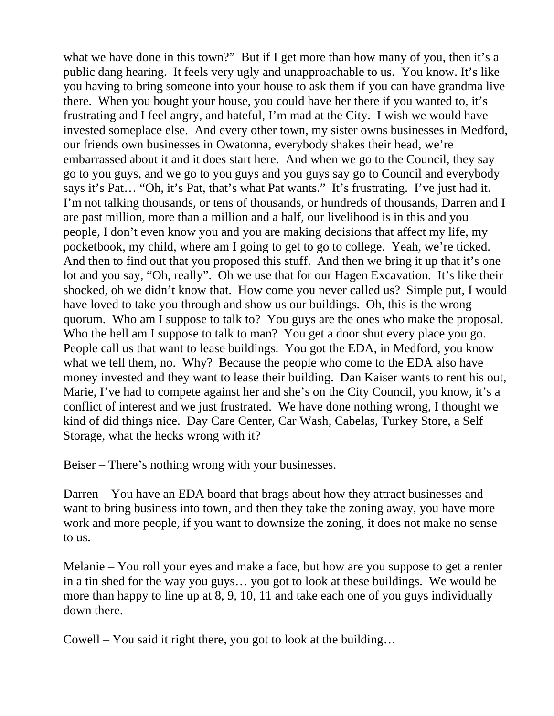what we have done in this town?" But if I get more than how many of you, then it's a public dang hearing. It feels very ugly and unapproachable to us. You know. It's like you having to bring someone into your house to ask them if you can have grandma live there. When you bought your house, you could have her there if you wanted to, it's frustrating and I feel angry, and hateful, I'm mad at the City. I wish we would have invested someplace else. And every other town, my sister owns businesses in Medford, our friends own businesses in Owatonna, everybody shakes their head, we're embarrassed about it and it does start here. And when we go to the Council, they say go to you guys, and we go to you guys and you guys say go to Council and everybody says it's Pat… "Oh, it's Pat, that's what Pat wants." It's frustrating. I've just had it. I'm not talking thousands, or tens of thousands, or hundreds of thousands, Darren and I are past million, more than a million and a half, our livelihood is in this and you people, I don't even know you and you are making decisions that affect my life, my pocketbook, my child, where am I going to get to go to college. Yeah, we're ticked. And then to find out that you proposed this stuff. And then we bring it up that it's one lot and you say, "Oh, really". Oh we use that for our Hagen Excavation. It's like their shocked, oh we didn't know that. How come you never called us? Simple put, I would have loved to take you through and show us our buildings. Oh, this is the wrong quorum. Who am I suppose to talk to? You guys are the ones who make the proposal. Who the hell am I suppose to talk to man? You get a door shut every place you go. People call us that want to lease buildings. You got the EDA, in Medford, you know what we tell them, no. Why? Because the people who come to the EDA also have money invested and they want to lease their building. Dan Kaiser wants to rent his out, Marie, I've had to compete against her and she's on the City Council, you know, it's a conflict of interest and we just frustrated. We have done nothing wrong, I thought we kind of did things nice. Day Care Center, Car Wash, Cabelas, Turkey Store, a Self Storage, what the hecks wrong with it?

Beiser – There's nothing wrong with your businesses.

Darren – You have an EDA board that brags about how they attract businesses and want to bring business into town, and then they take the zoning away, you have more work and more people, if you want to downsize the zoning, it does not make no sense to us.

Melanie – You roll your eyes and make a face, but how are you suppose to get a renter in a tin shed for the way you guys… you got to look at these buildings. We would be more than happy to line up at 8, 9, 10, 11 and take each one of you guys individually down there.

Cowell – You said it right there, you got to look at the building…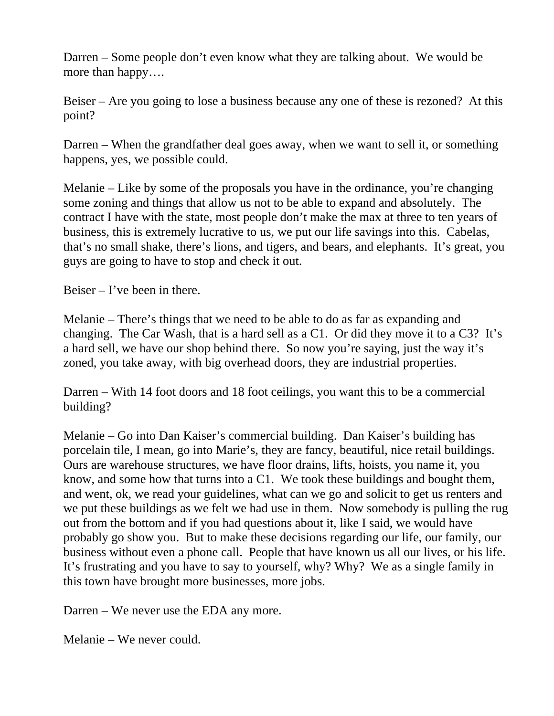Darren – Some people don't even know what they are talking about. We would be more than happy….

Beiser – Are you going to lose a business because any one of these is rezoned? At this point?

Darren – When the grandfather deal goes away, when we want to sell it, or something happens, yes, we possible could.

Melanie – Like by some of the proposals you have in the ordinance, you're changing some zoning and things that allow us not to be able to expand and absolutely. The contract I have with the state, most people don't make the max at three to ten years of business, this is extremely lucrative to us, we put our life savings into this. Cabelas, that's no small shake, there's lions, and tigers, and bears, and elephants. It's great, you guys are going to have to stop and check it out.

Beiser – I've been in there.

Melanie – There's things that we need to be able to do as far as expanding and changing. The Car Wash, that is a hard sell as a C1. Or did they move it to a C3? It's a hard sell, we have our shop behind there. So now you're saying, just the way it's zoned, you take away, with big overhead doors, they are industrial properties.

Darren – With 14 foot doors and 18 foot ceilings, you want this to be a commercial building?

Melanie – Go into Dan Kaiser's commercial building. Dan Kaiser's building has porcelain tile, I mean, go into Marie's, they are fancy, beautiful, nice retail buildings. Ours are warehouse structures, we have floor drains, lifts, hoists, you name it, you know, and some how that turns into a C1. We took these buildings and bought them, and went, ok, we read your guidelines, what can we go and solicit to get us renters and we put these buildings as we felt we had use in them. Now somebody is pulling the rug out from the bottom and if you had questions about it, like I said, we would have probably go show you. But to make these decisions regarding our life, our family, our business without even a phone call. People that have known us all our lives, or his life. It's frustrating and you have to say to yourself, why? Why? We as a single family in this town have brought more businesses, more jobs.

Darren – We never use the EDA any more.

Melanie – We never could.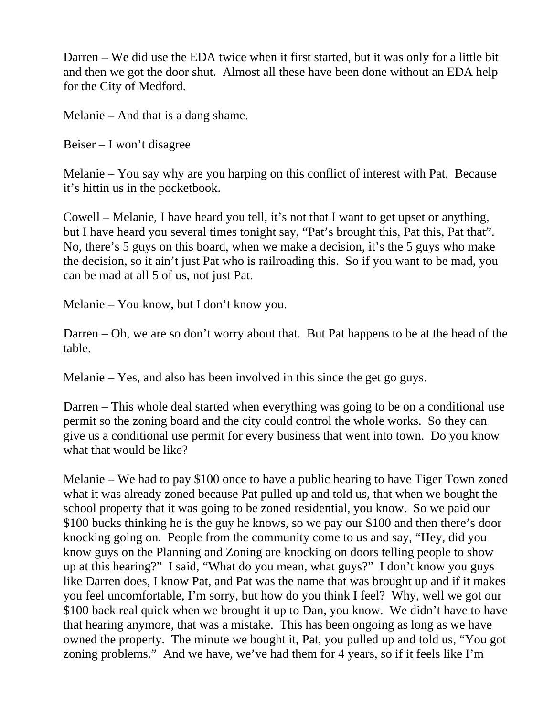Darren – We did use the EDA twice when it first started, but it was only for a little bit and then we got the door shut. Almost all these have been done without an EDA help for the City of Medford.

Melanie – And that is a dang shame.

Beiser – I won't disagree

Melanie – You say why are you harping on this conflict of interest with Pat. Because it's hittin us in the pocketbook.

Cowell – Melanie, I have heard you tell, it's not that I want to get upset or anything, but I have heard you several times tonight say, "Pat's brought this, Pat this, Pat that". No, there's 5 guys on this board, when we make a decision, it's the 5 guys who make the decision, so it ain't just Pat who is railroading this. So if you want to be mad, you can be mad at all 5 of us, not just Pat.

Melanie – You know, but I don't know you.

Darren – Oh, we are so don't worry about that. But Pat happens to be at the head of the table.

Melanie – Yes, and also has been involved in this since the get go guys.

Darren – This whole deal started when everything was going to be on a conditional use permit so the zoning board and the city could control the whole works. So they can give us a conditional use permit for every business that went into town. Do you know what that would be like?

Melanie – We had to pay \$100 once to have a public hearing to have Tiger Town zoned what it was already zoned because Pat pulled up and told us, that when we bought the school property that it was going to be zoned residential, you know. So we paid our \$100 bucks thinking he is the guy he knows, so we pay our \$100 and then there's door knocking going on. People from the community come to us and say, "Hey, did you know guys on the Planning and Zoning are knocking on doors telling people to show up at this hearing?" I said, "What do you mean, what guys?" I don't know you guys like Darren does, I know Pat, and Pat was the name that was brought up and if it makes you feel uncomfortable, I'm sorry, but how do you think I feel? Why, well we got our \$100 back real quick when we brought it up to Dan, you know. We didn't have to have that hearing anymore, that was a mistake. This has been ongoing as long as we have owned the property. The minute we bought it, Pat, you pulled up and told us, "You got zoning problems." And we have, we've had them for 4 years, so if it feels like I'm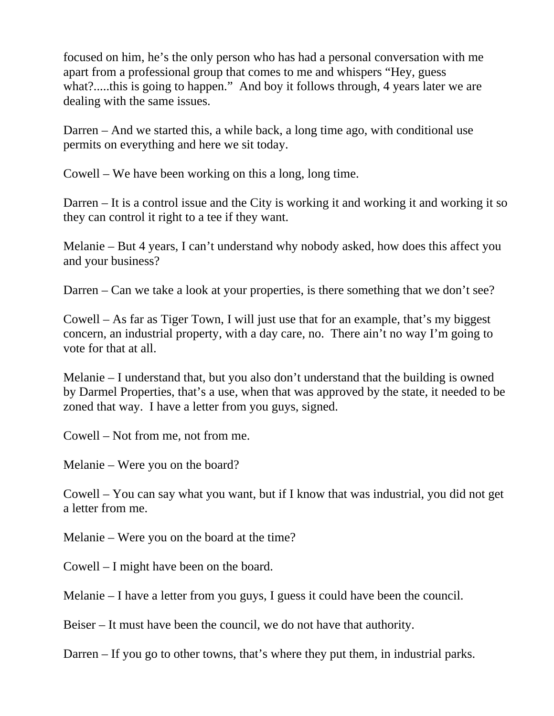focused on him, he's the only person who has had a personal conversation with me apart from a professional group that comes to me and whispers "Hey, guess what?.....this is going to happen." And boy it follows through, 4 years later we are dealing with the same issues.

Darren – And we started this, a while back, a long time ago, with conditional use permits on everything and here we sit today.

Cowell – We have been working on this a long, long time.

Darren – It is a control issue and the City is working it and working it and working it so they can control it right to a tee if they want.

Melanie – But 4 years, I can't understand why nobody asked, how does this affect you and your business?

Darren – Can we take a look at your properties, is there something that we don't see?

Cowell – As far as Tiger Town, I will just use that for an example, that's my biggest concern, an industrial property, with a day care, no. There ain't no way I'm going to vote for that at all.

Melanie – I understand that, but you also don't understand that the building is owned by Darmel Properties, that's a use, when that was approved by the state, it needed to be zoned that way. I have a letter from you guys, signed.

Cowell – Not from me, not from me.

Melanie – Were you on the board?

Cowell – You can say what you want, but if I know that was industrial, you did not get a letter from me.

Melanie – Were you on the board at the time?

Cowell – I might have been on the board.

Melanie – I have a letter from you guys, I guess it could have been the council.

Beiser – It must have been the council, we do not have that authority.

Darren – If you go to other towns, that's where they put them, in industrial parks.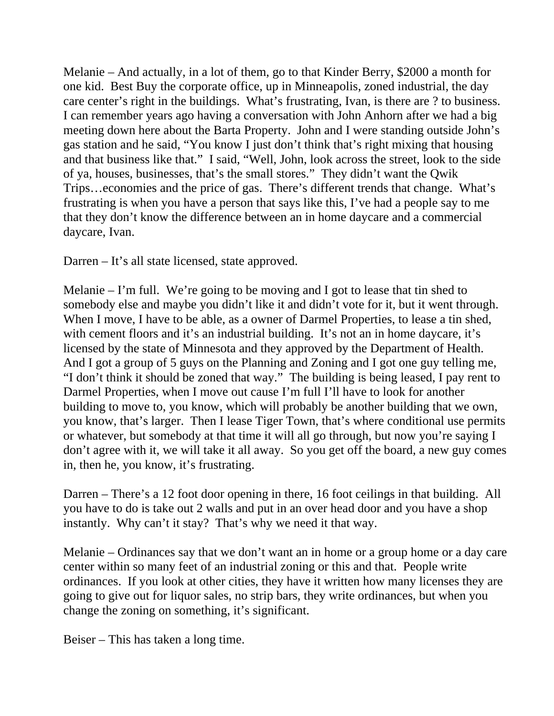Melanie – And actually, in a lot of them, go to that Kinder Berry, \$2000 a month for one kid. Best Buy the corporate office, up in Minneapolis, zoned industrial, the day care center's right in the buildings. What's frustrating, Ivan, is there are ? to business. I can remember years ago having a conversation with John Anhorn after we had a big meeting down here about the Barta Property. John and I were standing outside John's gas station and he said, "You know I just don't think that's right mixing that housing and that business like that." I said, "Well, John, look across the street, look to the side of ya, houses, businesses, that's the small stores." They didn't want the Qwik Trips…economies and the price of gas. There's different trends that change. What's frustrating is when you have a person that says like this, I've had a people say to me that they don't know the difference between an in home daycare and a commercial daycare, Ivan.

Darren – It's all state licensed, state approved.

Melanie – I'm full. We're going to be moving and I got to lease that tin shed to somebody else and maybe you didn't like it and didn't vote for it, but it went through. When I move, I have to be able, as a owner of Darmel Properties, to lease a tin shed, with cement floors and it's an industrial building. It's not an in home daycare, it's licensed by the state of Minnesota and they approved by the Department of Health. And I got a group of 5 guys on the Planning and Zoning and I got one guy telling me, "I don't think it should be zoned that way." The building is being leased, I pay rent to Darmel Properties, when I move out cause I'm full I'll have to look for another building to move to, you know, which will probably be another building that we own, you know, that's larger. Then I lease Tiger Town, that's where conditional use permits or whatever, but somebody at that time it will all go through, but now you're saying I don't agree with it, we will take it all away. So you get off the board, a new guy comes in, then he, you know, it's frustrating.

Darren – There's a 12 foot door opening in there, 16 foot ceilings in that building. All you have to do is take out 2 walls and put in an over head door and you have a shop instantly. Why can't it stay? That's why we need it that way.

Melanie – Ordinances say that we don't want an in home or a group home or a day care center within so many feet of an industrial zoning or this and that. People write ordinances. If you look at other cities, they have it written how many licenses they are going to give out for liquor sales, no strip bars, they write ordinances, but when you change the zoning on something, it's significant.

Beiser – This has taken a long time.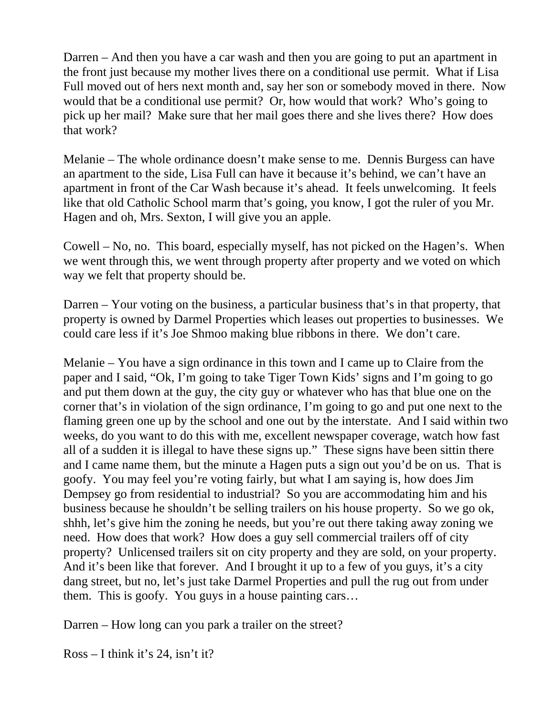Darren – And then you have a car wash and then you are going to put an apartment in the front just because my mother lives there on a conditional use permit. What if Lisa Full moved out of hers next month and, say her son or somebody moved in there. Now would that be a conditional use permit? Or, how would that work? Who's going to pick up her mail? Make sure that her mail goes there and she lives there? How does that work?

Melanie – The whole ordinance doesn't make sense to me. Dennis Burgess can have an apartment to the side, Lisa Full can have it because it's behind, we can't have an apartment in front of the Car Wash because it's ahead. It feels unwelcoming. It feels like that old Catholic School marm that's going, you know, I got the ruler of you Mr. Hagen and oh, Mrs. Sexton, I will give you an apple.

Cowell – No, no. This board, especially myself, has not picked on the Hagen's. When we went through this, we went through property after property and we voted on which way we felt that property should be.

Darren – Your voting on the business, a particular business that's in that property, that property is owned by Darmel Properties which leases out properties to businesses. We could care less if it's Joe Shmoo making blue ribbons in there. We don't care.

Melanie – You have a sign ordinance in this town and I came up to Claire from the paper and I said, "Ok, I'm going to take Tiger Town Kids' signs and I'm going to go and put them down at the guy, the city guy or whatever who has that blue one on the corner that's in violation of the sign ordinance, I'm going to go and put one next to the flaming green one up by the school and one out by the interstate. And I said within two weeks, do you want to do this with me, excellent newspaper coverage, watch how fast all of a sudden it is illegal to have these signs up." These signs have been sittin there and I came name them, but the minute a Hagen puts a sign out you'd be on us. That is goofy. You may feel you're voting fairly, but what I am saying is, how does Jim Dempsey go from residential to industrial? So you are accommodating him and his business because he shouldn't be selling trailers on his house property. So we go ok, shhh, let's give him the zoning he needs, but you're out there taking away zoning we need. How does that work? How does a guy sell commercial trailers off of city property? Unlicensed trailers sit on city property and they are sold, on your property. And it's been like that forever. And I brought it up to a few of you guys, it's a city dang street, but no, let's just take Darmel Properties and pull the rug out from under them. This is goofy. You guys in a house painting cars…

Darren – How long can you park a trailer on the street?

Ross – I think it's 24, isn't it?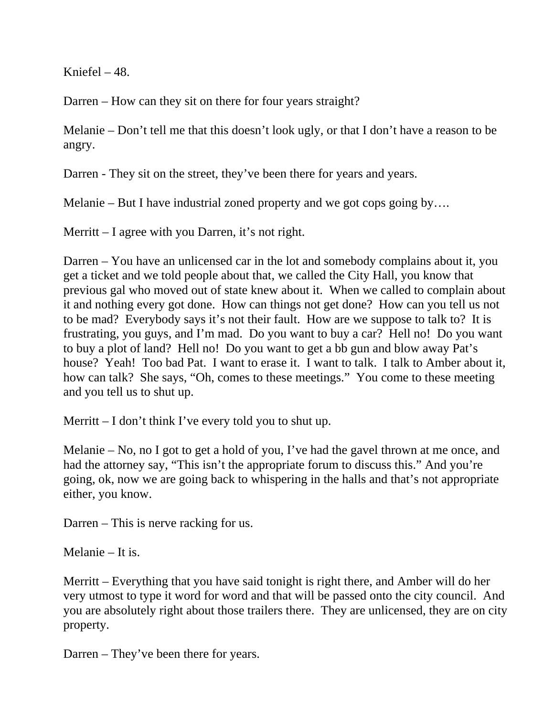Kniefel – 48.

Darren – How can they sit on there for four years straight?

Melanie – Don't tell me that this doesn't look ugly, or that I don't have a reason to be angry.

Darren - They sit on the street, they've been there for years and years.

Melanie – But I have industrial zoned property and we got cops going by....

Merritt – I agree with you Darren, it's not right.

Darren – You have an unlicensed car in the lot and somebody complains about it, you get a ticket and we told people about that, we called the City Hall, you know that previous gal who moved out of state knew about it. When we called to complain about it and nothing every got done. How can things not get done? How can you tell us not to be mad? Everybody says it's not their fault. How are we suppose to talk to? It is frustrating, you guys, and I'm mad. Do you want to buy a car? Hell no! Do you want to buy a plot of land? Hell no! Do you want to get a bb gun and blow away Pat's house? Yeah! Too bad Pat. I want to erase it. I want to talk. I talk to Amber about it, how can talk? She says, "Oh, comes to these meetings." You come to these meeting and you tell us to shut up.

Merritt – I don't think I've every told you to shut up.

Melanie – No, no I got to get a hold of you, I've had the gavel thrown at me once, and had the attorney say, "This isn't the appropriate forum to discuss this." And you're going, ok, now we are going back to whispering in the halls and that's not appropriate either, you know.

Darren – This is nerve racking for us.

Melanie – It is.

Merritt – Everything that you have said tonight is right there, and Amber will do her very utmost to type it word for word and that will be passed onto the city council. And you are absolutely right about those trailers there. They are unlicensed, they are on city property.

Darren – They've been there for years.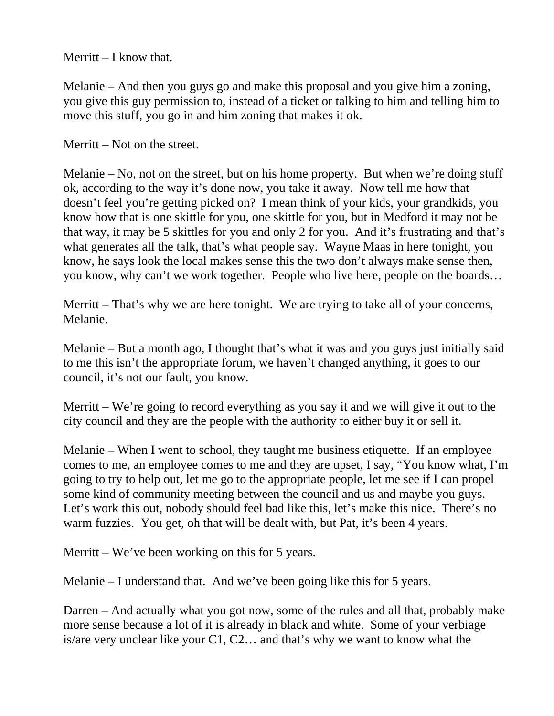Merritt  $-I$  know that.

Melanie – And then you guys go and make this proposal and you give him a zoning, you give this guy permission to, instead of a ticket or talking to him and telling him to move this stuff, you go in and him zoning that makes it ok.

Merritt – Not on the street.

Melanie – No, not on the street, but on his home property. But when we're doing stuff ok, according to the way it's done now, you take it away. Now tell me how that doesn't feel you're getting picked on? I mean think of your kids, your grandkids, you know how that is one skittle for you, one skittle for you, but in Medford it may not be that way, it may be 5 skittles for you and only 2 for you. And it's frustrating and that's what generates all the talk, that's what people say. Wayne Maas in here tonight, you know, he says look the local makes sense this the two don't always make sense then, you know, why can't we work together. People who live here, people on the boards…

Merritt – That's why we are here tonight. We are trying to take all of your concerns, Melanie.

Melanie – But a month ago, I thought that's what it was and you guys just initially said to me this isn't the appropriate forum, we haven't changed anything, it goes to our council, it's not our fault, you know.

Merritt – We're going to record everything as you say it and we will give it out to the city council and they are the people with the authority to either buy it or sell it.

Melanie – When I went to school, they taught me business etiquette. If an employee comes to me, an employee comes to me and they are upset, I say, "You know what, I'm going to try to help out, let me go to the appropriate people, let me see if I can propel some kind of community meeting between the council and us and maybe you guys. Let's work this out, nobody should feel bad like this, let's make this nice. There's no warm fuzzies. You get, oh that will be dealt with, but Pat, it's been 4 years.

Merritt – We've been working on this for 5 years.

Melanie – I understand that. And we've been going like this for 5 years.

Darren – And actually what you got now, some of the rules and all that, probably make more sense because a lot of it is already in black and white. Some of your verbiage is/are very unclear like your C1, C2… and that's why we want to know what the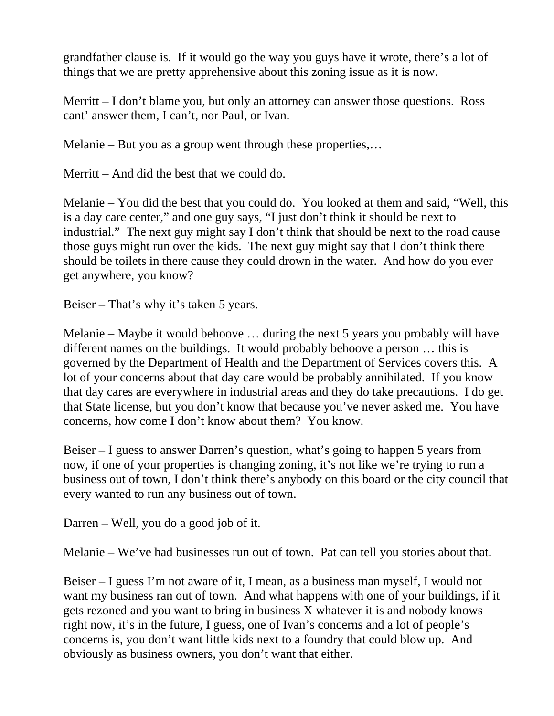grandfather clause is. If it would go the way you guys have it wrote, there's a lot of things that we are pretty apprehensive about this zoning issue as it is now.

Merritt – I don't blame you, but only an attorney can answer those questions. Ross cant' answer them, I can't, nor Paul, or Ivan.

Melanie – But you as a group went through these properties,…

Merritt – And did the best that we could do.

Melanie – You did the best that you could do. You looked at them and said, "Well, this is a day care center," and one guy says, "I just don't think it should be next to industrial." The next guy might say I don't think that should be next to the road cause those guys might run over the kids. The next guy might say that I don't think there should be toilets in there cause they could drown in the water. And how do you ever get anywhere, you know?

Beiser – That's why it's taken 5 years.

Melanie – Maybe it would behoove … during the next 5 years you probably will have different names on the buildings. It would probably behoove a person … this is governed by the Department of Health and the Department of Services covers this. A lot of your concerns about that day care would be probably annihilated. If you know that day cares are everywhere in industrial areas and they do take precautions. I do get that State license, but you don't know that because you've never asked me. You have concerns, how come I don't know about them? You know.

Beiser – I guess to answer Darren's question, what's going to happen 5 years from now, if one of your properties is changing zoning, it's not like we're trying to run a business out of town, I don't think there's anybody on this board or the city council that every wanted to run any business out of town.

Darren – Well, you do a good job of it.

Melanie – We've had businesses run out of town. Pat can tell you stories about that.

Beiser – I guess I'm not aware of it, I mean, as a business man myself, I would not want my business ran out of town. And what happens with one of your buildings, if it gets rezoned and you want to bring in business X whatever it is and nobody knows right now, it's in the future, I guess, one of Ivan's concerns and a lot of people's concerns is, you don't want little kids next to a foundry that could blow up. And obviously as business owners, you don't want that either.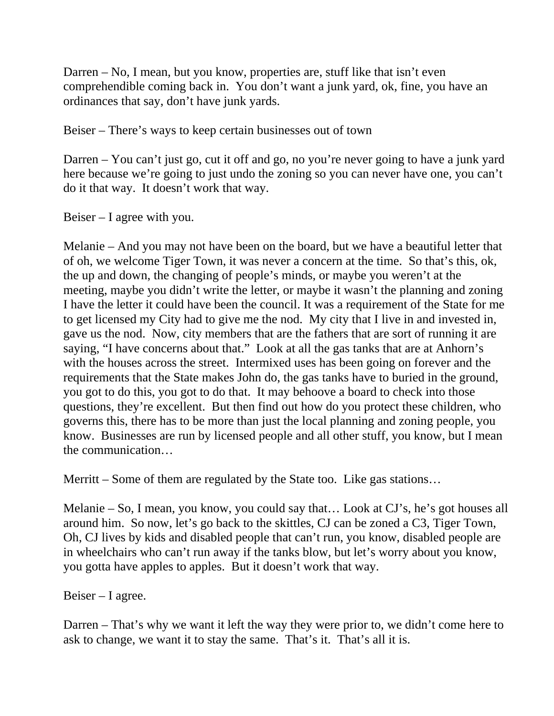Darren – No, I mean, but you know, properties are, stuff like that isn't even comprehendible coming back in. You don't want a junk yard, ok, fine, you have an ordinances that say, don't have junk yards.

Beiser – There's ways to keep certain businesses out of town

Darren – You can't just go, cut it off and go, no you're never going to have a junk yard here because we're going to just undo the zoning so you can never have one, you can't do it that way. It doesn't work that way.

Beiser – I agree with you.

Melanie – And you may not have been on the board, but we have a beautiful letter that of oh, we welcome Tiger Town, it was never a concern at the time. So that's this, ok, the up and down, the changing of people's minds, or maybe you weren't at the meeting, maybe you didn't write the letter, or maybe it wasn't the planning and zoning I have the letter it could have been the council. It was a requirement of the State for me to get licensed my City had to give me the nod. My city that I live in and invested in, gave us the nod. Now, city members that are the fathers that are sort of running it are saying, "I have concerns about that." Look at all the gas tanks that are at Anhorn's with the houses across the street. Intermixed uses has been going on forever and the requirements that the State makes John do, the gas tanks have to buried in the ground, you got to do this, you got to do that. It may behoove a board to check into those questions, they're excellent. But then find out how do you protect these children, who governs this, there has to be more than just the local planning and zoning people, you know. Businesses are run by licensed people and all other stuff, you know, but I mean the communication…

Merritt – Some of them are regulated by the State too. Like gas stations...

Melanie – So, I mean, you know, you could say that… Look at CJ's, he's got houses all around him. So now, let's go back to the skittles, CJ can be zoned a C3, Tiger Town, Oh, CJ lives by kids and disabled people that can't run, you know, disabled people are in wheelchairs who can't run away if the tanks blow, but let's worry about you know, you gotta have apples to apples. But it doesn't work that way.

Beiser – I agree.

Darren – That's why we want it left the way they were prior to, we didn't come here to ask to change, we want it to stay the same. That's it. That's all it is.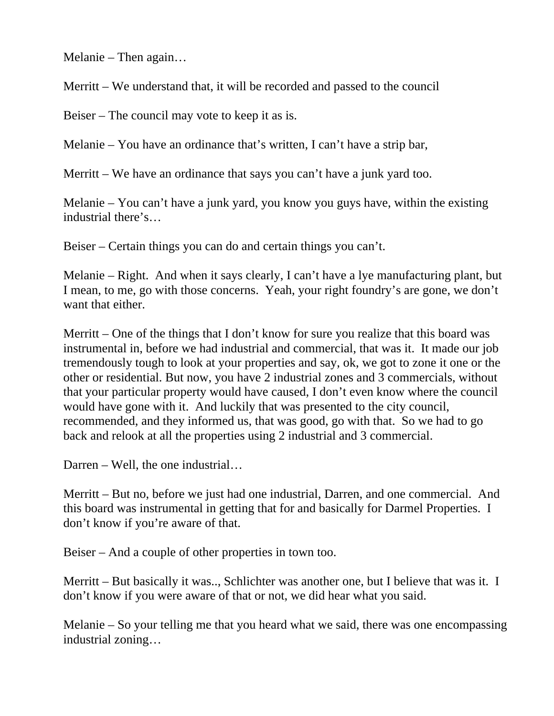Melanie – Then again…

Merritt – We understand that, it will be recorded and passed to the council

Beiser – The council may vote to keep it as is.

Melanie – You have an ordinance that's written, I can't have a strip bar,

Merritt – We have an ordinance that says you can't have a junk yard too.

Melanie – You can't have a junk yard, you know you guys have, within the existing industrial there's…

Beiser – Certain things you can do and certain things you can't.

Melanie – Right. And when it says clearly, I can't have a lye manufacturing plant, but I mean, to me, go with those concerns. Yeah, your right foundry's are gone, we don't want that either.

Merritt – One of the things that I don't know for sure you realize that this board was instrumental in, before we had industrial and commercial, that was it. It made our job tremendously tough to look at your properties and say, ok, we got to zone it one or the other or residential. But now, you have 2 industrial zones and 3 commercials, without that your particular property would have caused, I don't even know where the council would have gone with it. And luckily that was presented to the city council, recommended, and they informed us, that was good, go with that. So we had to go back and relook at all the properties using 2 industrial and 3 commercial.

Darren – Well, the one industrial…

Merritt – But no, before we just had one industrial, Darren, and one commercial. And this board was instrumental in getting that for and basically for Darmel Properties. I don't know if you're aware of that.

Beiser – And a couple of other properties in town too.

Merritt – But basically it was.., Schlichter was another one, but I believe that was it. I don't know if you were aware of that or not, we did hear what you said.

Melanie – So your telling me that you heard what we said, there was one encompassing industrial zoning…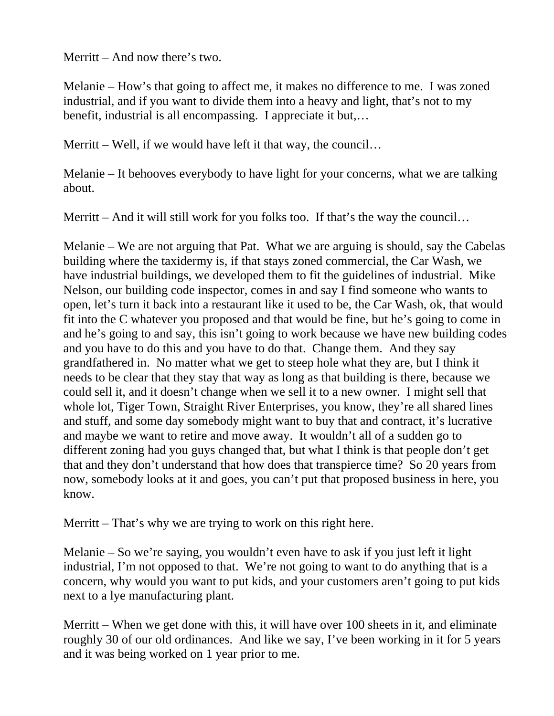Merritt – And now there's two.

Melanie – How's that going to affect me, it makes no difference to me. I was zoned industrial, and if you want to divide them into a heavy and light, that's not to my benefit, industrial is all encompassing. I appreciate it but,…

Merritt – Well, if we would have left it that way, the council...

Melanie – It behooves everybody to have light for your concerns, what we are talking about.

Merritt – And it will still work for you folks too. If that's the way the council...

Melanie – We are not arguing that Pat. What we are arguing is should, say the Cabelas building where the taxidermy is, if that stays zoned commercial, the Car Wash, we have industrial buildings, we developed them to fit the guidelines of industrial. Mike Nelson, our building code inspector, comes in and say I find someone who wants to open, let's turn it back into a restaurant like it used to be, the Car Wash, ok, that would fit into the C whatever you proposed and that would be fine, but he's going to come in and he's going to and say, this isn't going to work because we have new building codes and you have to do this and you have to do that. Change them. And they say grandfathered in. No matter what we get to steep hole what they are, but I think it needs to be clear that they stay that way as long as that building is there, because we could sell it, and it doesn't change when we sell it to a new owner. I might sell that whole lot, Tiger Town, Straight River Enterprises, you know, they're all shared lines and stuff, and some day somebody might want to buy that and contract, it's lucrative and maybe we want to retire and move away. It wouldn't all of a sudden go to different zoning had you guys changed that, but what I think is that people don't get that and they don't understand that how does that transpierce time? So 20 years from now, somebody looks at it and goes, you can't put that proposed business in here, you know.

Merritt – That's why we are trying to work on this right here.

Melanie – So we're saying, you wouldn't even have to ask if you just left it light industrial, I'm not opposed to that. We're not going to want to do anything that is a concern, why would you want to put kids, and your customers aren't going to put kids next to a lye manufacturing plant.

Merritt – When we get done with this, it will have over 100 sheets in it, and eliminate roughly 30 of our old ordinances. And like we say, I've been working in it for 5 years and it was being worked on 1 year prior to me.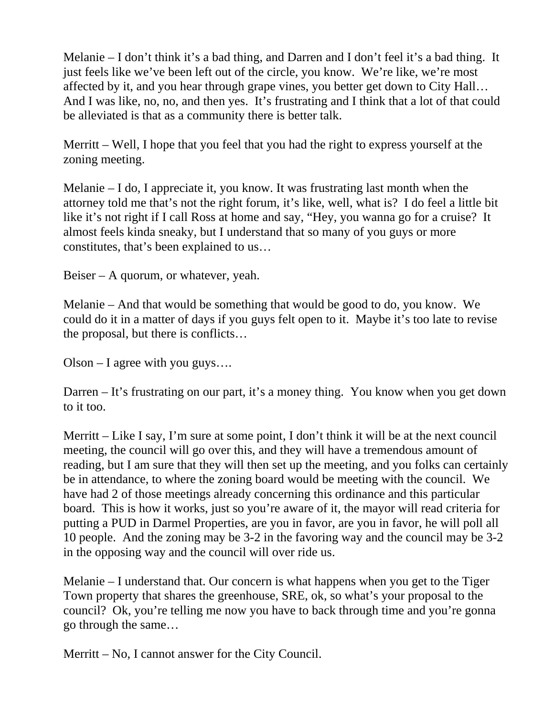Melanie – I don't think it's a bad thing, and Darren and I don't feel it's a bad thing. It just feels like we've been left out of the circle, you know. We're like, we're most affected by it, and you hear through grape vines, you better get down to City Hall… And I was like, no, no, and then yes. It's frustrating and I think that a lot of that could be alleviated is that as a community there is better talk.

Merritt – Well, I hope that you feel that you had the right to express yourself at the zoning meeting.

Melanie – I do, I appreciate it, you know. It was frustrating last month when the attorney told me that's not the right forum, it's like, well, what is? I do feel a little bit like it's not right if I call Ross at home and say, "Hey, you wanna go for a cruise? It almost feels kinda sneaky, but I understand that so many of you guys or more constitutes, that's been explained to us…

Beiser – A quorum, or whatever, yeah.

Melanie – And that would be something that would be good to do, you know. We could do it in a matter of days if you guys felt open to it. Maybe it's too late to revise the proposal, but there is conflicts…

Olson – I agree with you guys….

Darren – It's frustrating on our part, it's a money thing. You know when you get down to it too.

Merritt – Like I say, I'm sure at some point, I don't think it will be at the next council meeting, the council will go over this, and they will have a tremendous amount of reading, but I am sure that they will then set up the meeting, and you folks can certainly be in attendance, to where the zoning board would be meeting with the council. We have had 2 of those meetings already concerning this ordinance and this particular board. This is how it works, just so you're aware of it, the mayor will read criteria for putting a PUD in Darmel Properties, are you in favor, are you in favor, he will poll all 10 people. And the zoning may be 3-2 in the favoring way and the council may be 3-2 in the opposing way and the council will over ride us.

Melanie – I understand that. Our concern is what happens when you get to the Tiger Town property that shares the greenhouse, SRE, ok, so what's your proposal to the council? Ok, you're telling me now you have to back through time and you're gonna go through the same…

Merritt – No, I cannot answer for the City Council.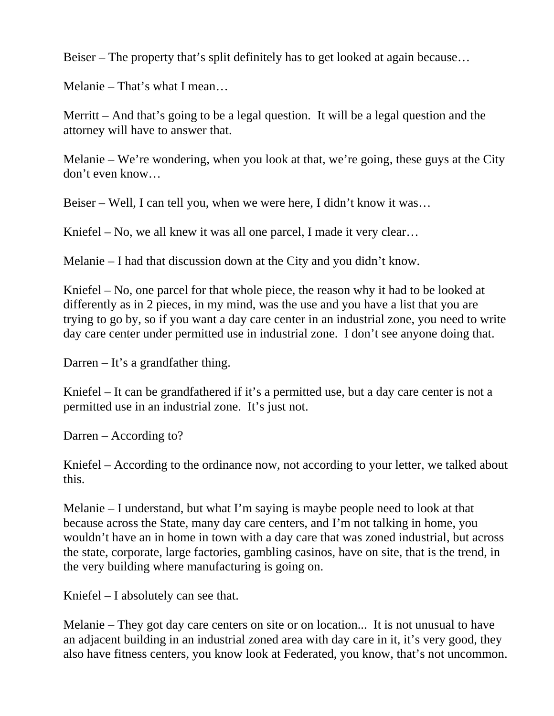Beiser – The property that's split definitely has to get looked at again because…

Melanie – That's what I mean…

Merritt – And that's going to be a legal question. It will be a legal question and the attorney will have to answer that.

Melanie – We're wondering, when you look at that, we're going, these guys at the City don't even know…

Beiser – Well, I can tell you, when we were here, I didn't know it was…

Kniefel – No, we all knew it was all one parcel, I made it very clear...

Melanie – I had that discussion down at the City and you didn't know.

Kniefel – No, one parcel for that whole piece, the reason why it had to be looked at differently as in 2 pieces, in my mind, was the use and you have a list that you are trying to go by, so if you want a day care center in an industrial zone, you need to write day care center under permitted use in industrial zone. I don't see anyone doing that.

Darren – It's a grandfather thing.

Kniefel – It can be grandfathered if it's a permitted use, but a day care center is not a permitted use in an industrial zone. It's just not.

Darren – According to?

Kniefel – According to the ordinance now, not according to your letter, we talked about this.

Melanie – I understand, but what I'm saying is maybe people need to look at that because across the State, many day care centers, and I'm not talking in home, you wouldn't have an in home in town with a day care that was zoned industrial, but across the state, corporate, large factories, gambling casinos, have on site, that is the trend, in the very building where manufacturing is going on.

Kniefel – I absolutely can see that.

Melanie – They got day care centers on site or on location... It is not unusual to have an adjacent building in an industrial zoned area with day care in it, it's very good, they also have fitness centers, you know look at Federated, you know, that's not uncommon.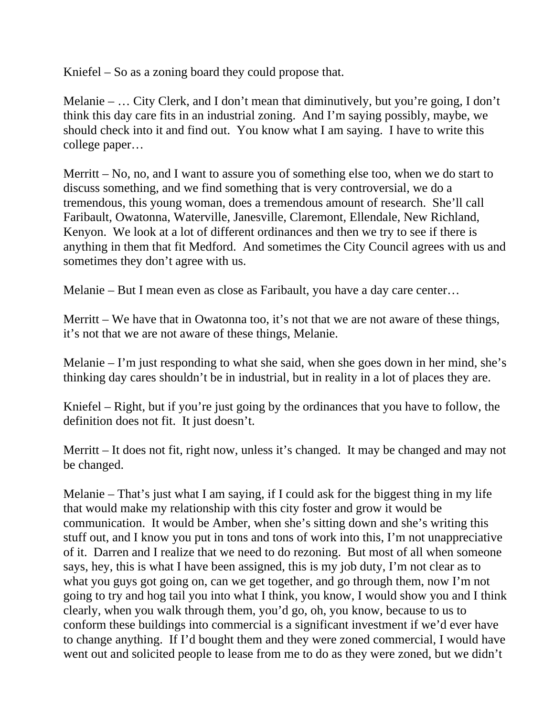Kniefel – So as a zoning board they could propose that.

Melanie – … City Clerk, and I don't mean that diminutively, but you're going, I don't think this day care fits in an industrial zoning. And I'm saying possibly, maybe, we should check into it and find out. You know what I am saying. I have to write this college paper…

Merritt – No, no, and I want to assure you of something else too, when we do start to discuss something, and we find something that is very controversial, we do a tremendous, this young woman, does a tremendous amount of research. She'll call Faribault, Owatonna, Waterville, Janesville, Claremont, Ellendale, New Richland, Kenyon. We look at a lot of different ordinances and then we try to see if there is anything in them that fit Medford. And sometimes the City Council agrees with us and sometimes they don't agree with us.

Melanie – But I mean even as close as Faribault, you have a day care center…

Merritt – We have that in Owatonna too, it's not that we are not aware of these things, it's not that we are not aware of these things, Melanie.

Melanie – I'm just responding to what she said, when she goes down in her mind, she's thinking day cares shouldn't be in industrial, but in reality in a lot of places they are.

Kniefel – Right, but if you're just going by the ordinances that you have to follow, the definition does not fit. It just doesn't.

Merritt – It does not fit, right now, unless it's changed. It may be changed and may not be changed.

Melanie – That's just what I am saying, if I could ask for the biggest thing in my life that would make my relationship with this city foster and grow it would be communication. It would be Amber, when she's sitting down and she's writing this stuff out, and I know you put in tons and tons of work into this, I'm not unappreciative of it. Darren and I realize that we need to do rezoning. But most of all when someone says, hey, this is what I have been assigned, this is my job duty, I'm not clear as to what you guys got going on, can we get together, and go through them, now I'm not going to try and hog tail you into what I think, you know, I would show you and I think clearly, when you walk through them, you'd go, oh, you know, because to us to conform these buildings into commercial is a significant investment if we'd ever have to change anything. If I'd bought them and they were zoned commercial, I would have went out and solicited people to lease from me to do as they were zoned, but we didn't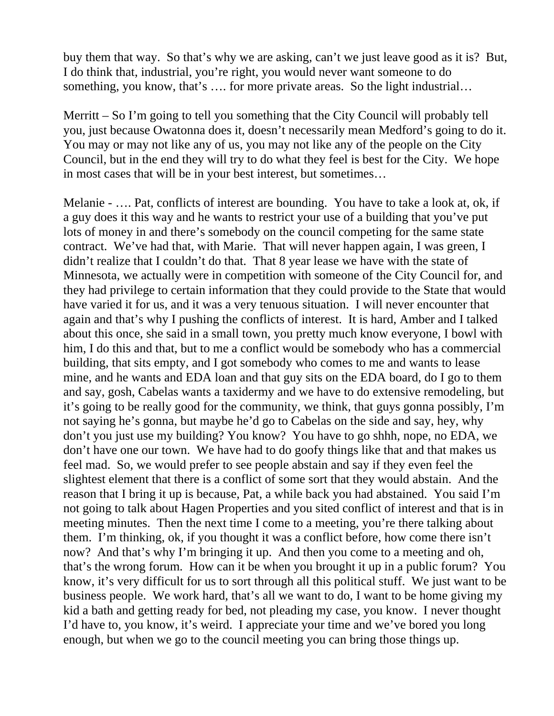buy them that way. So that's why we are asking, can't we just leave good as it is? But, I do think that, industrial, you're right, you would never want someone to do something, you know, that's .... for more private areas. So the light industrial...

Merritt – So I'm going to tell you something that the City Council will probably tell you, just because Owatonna does it, doesn't necessarily mean Medford's going to do it. You may or may not like any of us, you may not like any of the people on the City Council, but in the end they will try to do what they feel is best for the City. We hope in most cases that will be in your best interest, but sometimes…

Melanie - …. Pat, conflicts of interest are bounding. You have to take a look at, ok, if a guy does it this way and he wants to restrict your use of a building that you've put lots of money in and there's somebody on the council competing for the same state contract. We've had that, with Marie. That will never happen again, I was green, I didn't realize that I couldn't do that. That 8 year lease we have with the state of Minnesota, we actually were in competition with someone of the City Council for, and they had privilege to certain information that they could provide to the State that would have varied it for us, and it was a very tenuous situation. I will never encounter that again and that's why I pushing the conflicts of interest. It is hard, Amber and I talked about this once, she said in a small town, you pretty much know everyone, I bowl with him, I do this and that, but to me a conflict would be somebody who has a commercial building, that sits empty, and I got somebody who comes to me and wants to lease mine, and he wants and EDA loan and that guy sits on the EDA board, do I go to them and say, gosh, Cabelas wants a taxidermy and we have to do extensive remodeling, but it's going to be really good for the community, we think, that guys gonna possibly, I'm not saying he's gonna, but maybe he'd go to Cabelas on the side and say, hey, why don't you just use my building? You know? You have to go shhh, nope, no EDA, we don't have one our town. We have had to do goofy things like that and that makes us feel mad. So, we would prefer to see people abstain and say if they even feel the slightest element that there is a conflict of some sort that they would abstain. And the reason that I bring it up is because, Pat, a while back you had abstained. You said I'm not going to talk about Hagen Properties and you sited conflict of interest and that is in meeting minutes. Then the next time I come to a meeting, you're there talking about them. I'm thinking, ok, if you thought it was a conflict before, how come there isn't now? And that's why I'm bringing it up. And then you come to a meeting and oh, that's the wrong forum. How can it be when you brought it up in a public forum? You know, it's very difficult for us to sort through all this political stuff. We just want to be business people. We work hard, that's all we want to do, I want to be home giving my kid a bath and getting ready for bed, not pleading my case, you know. I never thought I'd have to, you know, it's weird. I appreciate your time and we've bored you long enough, but when we go to the council meeting you can bring those things up.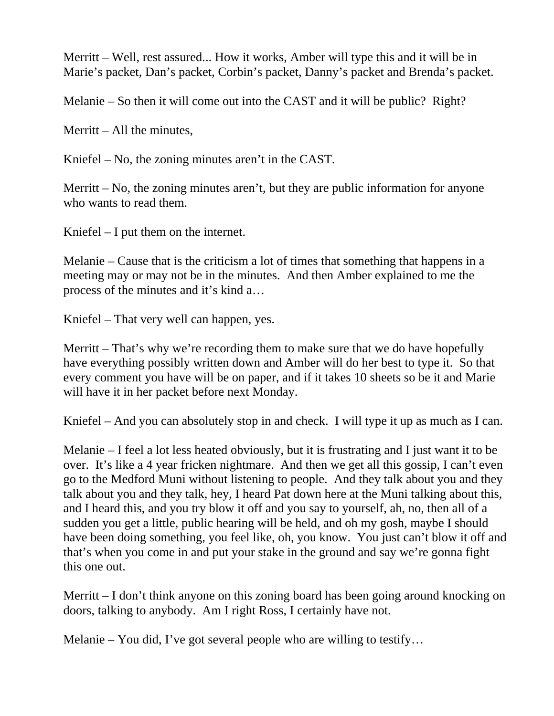Merritt – Well, rest assured... How it works, Amber will type this and it will be in Marie's packet, Dan's packet, Corbin's packet, Danny's packet and Brenda's packet.

Melanie – So then it will come out into the CAST and it will be public? Right?

Merritt – All the minutes,

Kniefel – No, the zoning minutes aren't in the CAST.

Merritt – No, the zoning minutes aren't, but they are public information for anyone who wants to read them.

Kniefel – I put them on the internet.

Melanie – Cause that is the criticism a lot of times that something that happens in a meeting may or may not be in the minutes. And then Amber explained to me the process of the minutes and it's kind a…

Kniefel – That very well can happen, yes.

Merritt – That's why we're recording them to make sure that we do have hopefully have everything possibly written down and Amber will do her best to type it. So that every comment you have will be on paper, and if it takes 10 sheets so be it and Marie will have it in her packet before next Monday.

Kniefel – And you can absolutely stop in and check. I will type it up as much as I can.

Melanie – I feel a lot less heated obviously, but it is frustrating and I just want it to be over. It's like a 4 year fricken nightmare. And then we get all this gossip, I can't even go to the Medford Muni without listening to people. And they talk about you and they talk about you and they talk, hey, I heard Pat down here at the Muni talking about this, and I heard this, and you try blow it off and you say to yourself, ah, no, then all of a sudden you get a little, public hearing will be held, and oh my gosh, maybe I should have been doing something, you feel like, oh, you know. You just can't blow it off and that's when you come in and put your stake in the ground and say we're gonna fight this one out.

Merritt – I don't think anyone on this zoning board has been going around knocking on doors, talking to anybody. Am I right Ross, I certainly have not.

Melanie – You did, I've got several people who are willing to testify…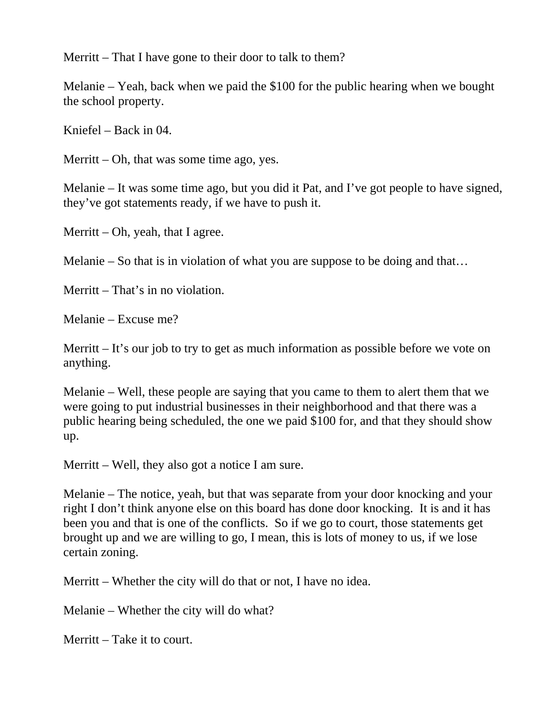Merritt – That I have gone to their door to talk to them?

Melanie – Yeah, back when we paid the \$100 for the public hearing when we bought the school property.

Kniefel – Back in 04.

Merritt – Oh, that was some time ago, yes.

Melanie – It was some time ago, but you did it Pat, and I've got people to have signed, they've got statements ready, if we have to push it.

Merritt – Oh, yeah, that I agree.

Melanie – So that is in violation of what you are suppose to be doing and that…

Merritt – That's in no violation.

Melanie – Excuse me?

Merritt – It's our job to try to get as much information as possible before we vote on anything.

Melanie – Well, these people are saying that you came to them to alert them that we were going to put industrial businesses in their neighborhood and that there was a public hearing being scheduled, the one we paid \$100 for, and that they should show up.

Merritt – Well, they also got a notice I am sure.

Melanie – The notice, yeah, but that was separate from your door knocking and your right I don't think anyone else on this board has done door knocking. It is and it has been you and that is one of the conflicts. So if we go to court, those statements get brought up and we are willing to go, I mean, this is lots of money to us, if we lose certain zoning.

Merritt – Whether the city will do that or not, I have no idea.

Melanie – Whether the city will do what?

Merritt – Take it to court.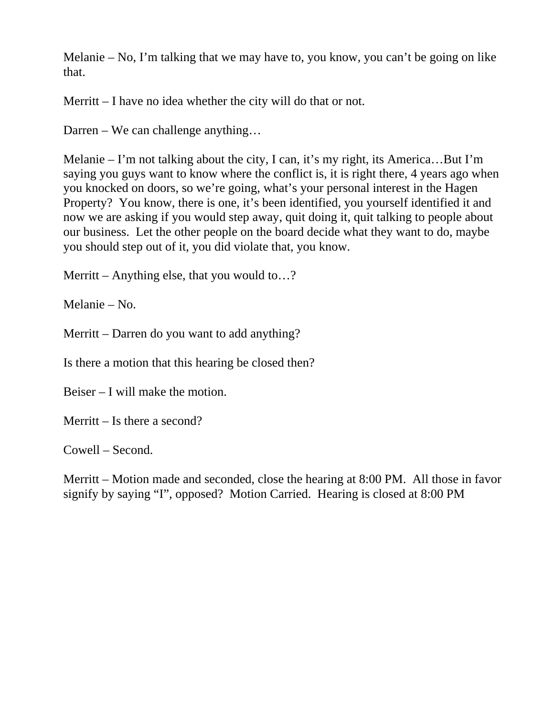Melanie – No, I'm talking that we may have to, you know, you can't be going on like that.

Merritt – I have no idea whether the city will do that or not.

Darren – We can challenge anything…

Melanie – I'm not talking about the city, I can, it's my right, its America…But I'm saying you guys want to know where the conflict is, it is right there, 4 years ago when you knocked on doors, so we're going, what's your personal interest in the Hagen Property? You know, there is one, it's been identified, you yourself identified it and now we are asking if you would step away, quit doing it, quit talking to people about our business. Let the other people on the board decide what they want to do, maybe you should step out of it, you did violate that, you know.

Merritt – Anything else, that you would to...?

Melanie – No.

Merritt – Darren do you want to add anything?

Is there a motion that this hearing be closed then?

Beiser – I will make the motion.

Merritt – Is there a second?

Cowell – Second.

Merritt – Motion made and seconded, close the hearing at 8:00 PM. All those in favor signify by saying "I", opposed? Motion Carried. Hearing is closed at 8:00 PM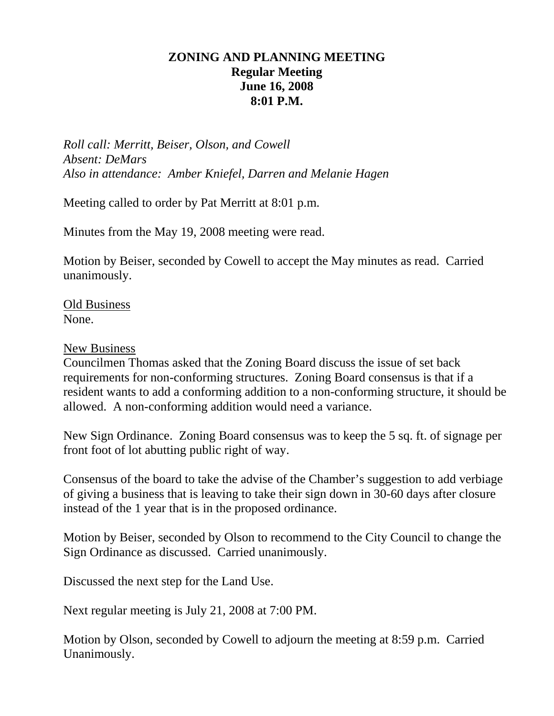## **ZONING AND PLANNING MEETING Regular Meeting June 16, 2008 8:01 P.M.**

*Roll call: Merritt, Beiser, Olson, and Cowell Absent: DeMars Also in attendance: Amber Kniefel, Darren and Melanie Hagen* 

Meeting called to order by Pat Merritt at 8:01 p.m.

Minutes from the May 19, 2008 meeting were read.

Motion by Beiser, seconded by Cowell to accept the May minutes as read. Carried unanimously.

Old Business None.

New Business

Councilmen Thomas asked that the Zoning Board discuss the issue of set back requirements for non-conforming structures. Zoning Board consensus is that if a resident wants to add a conforming addition to a non-conforming structure, it should be allowed. A non-conforming addition would need a variance.

New Sign Ordinance. Zoning Board consensus was to keep the 5 sq. ft. of signage per front foot of lot abutting public right of way.

Consensus of the board to take the advise of the Chamber's suggestion to add verbiage of giving a business that is leaving to take their sign down in 30-60 days after closure instead of the 1 year that is in the proposed ordinance.

Motion by Beiser, seconded by Olson to recommend to the City Council to change the Sign Ordinance as discussed. Carried unanimously.

Discussed the next step for the Land Use.

Next regular meeting is July 21, 2008 at 7:00 PM.

Motion by Olson, seconded by Cowell to adjourn the meeting at 8:59 p.m. Carried Unanimously.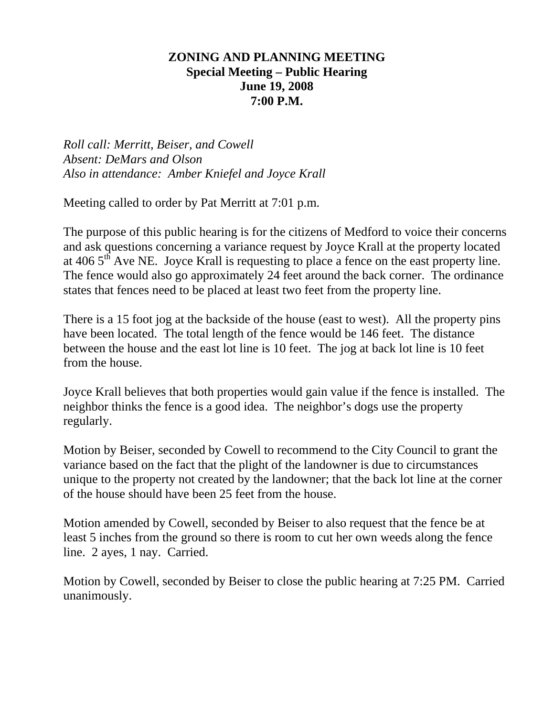#### **ZONING AND PLANNING MEETING Special Meeting – Public Hearing June 19, 2008 7:00 P.M.**

*Roll call: Merritt, Beiser, and Cowell Absent: DeMars and Olson Also in attendance: Amber Kniefel and Joyce Krall* 

Meeting called to order by Pat Merritt at 7:01 p.m.

The purpose of this public hearing is for the citizens of Medford to voice their concerns and ask questions concerning a variance request by Joyce Krall at the property located at 406  $5<sup>th</sup>$  Ave NE. Joyce Krall is requesting to place a fence on the east property line. The fence would also go approximately 24 feet around the back corner. The ordinance states that fences need to be placed at least two feet from the property line.

There is a 15 foot jog at the backside of the house (east to west). All the property pins have been located. The total length of the fence would be 146 feet. The distance between the house and the east lot line is 10 feet. The jog at back lot line is 10 feet from the house.

Joyce Krall believes that both properties would gain value if the fence is installed. The neighbor thinks the fence is a good idea. The neighbor's dogs use the property regularly.

Motion by Beiser, seconded by Cowell to recommend to the City Council to grant the variance based on the fact that the plight of the landowner is due to circumstances unique to the property not created by the landowner; that the back lot line at the corner of the house should have been 25 feet from the house.

Motion amended by Cowell, seconded by Beiser to also request that the fence be at least 5 inches from the ground so there is room to cut her own weeds along the fence line. 2 ayes, 1 nay. Carried.

Motion by Cowell, seconded by Beiser to close the public hearing at 7:25 PM. Carried unanimously.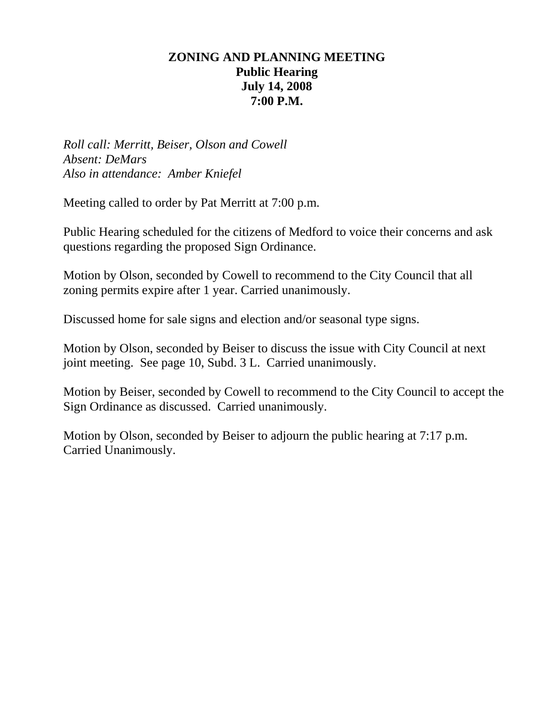## **ZONING AND PLANNING MEETING Public Hearing July 14, 2008 7:00 P.M.**

*Roll call: Merritt, Beiser, Olson and Cowell Absent: DeMars Also in attendance: Amber Kniefel* 

Meeting called to order by Pat Merritt at 7:00 p.m.

Public Hearing scheduled for the citizens of Medford to voice their concerns and ask questions regarding the proposed Sign Ordinance.

Motion by Olson, seconded by Cowell to recommend to the City Council that all zoning permits expire after 1 year. Carried unanimously.

Discussed home for sale signs and election and/or seasonal type signs.

Motion by Olson, seconded by Beiser to discuss the issue with City Council at next joint meeting. See page 10, Subd. 3 L. Carried unanimously.

Motion by Beiser, seconded by Cowell to recommend to the City Council to accept the Sign Ordinance as discussed. Carried unanimously.

Motion by Olson, seconded by Beiser to adjourn the public hearing at 7:17 p.m. Carried Unanimously.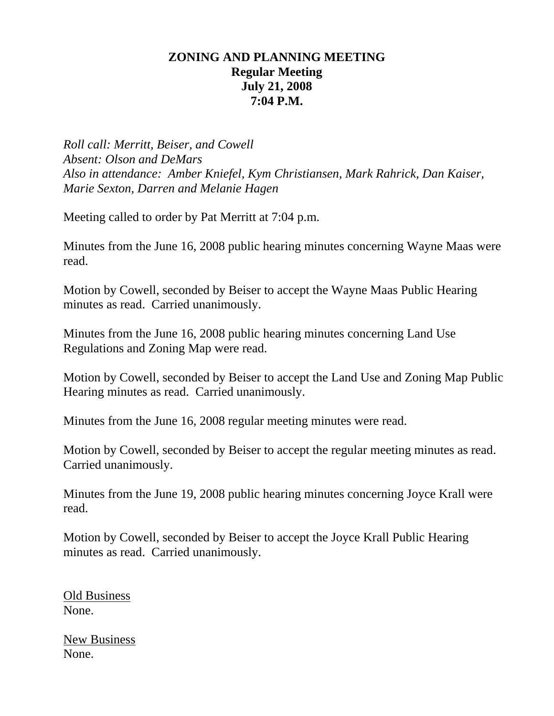### **ZONING AND PLANNING MEETING Regular Meeting July 21, 2008 7:04 P.M.**

*Roll call: Merritt, Beiser, and Cowell Absent: Olson and DeMars Also in attendance: Amber Kniefel, Kym Christiansen, Mark Rahrick, Dan Kaiser, Marie Sexton, Darren and Melanie Hagen* 

Meeting called to order by Pat Merritt at 7:04 p.m.

Minutes from the June 16, 2008 public hearing minutes concerning Wayne Maas were read.

Motion by Cowell, seconded by Beiser to accept the Wayne Maas Public Hearing minutes as read. Carried unanimously.

Minutes from the June 16, 2008 public hearing minutes concerning Land Use Regulations and Zoning Map were read.

Motion by Cowell, seconded by Beiser to accept the Land Use and Zoning Map Public Hearing minutes as read. Carried unanimously.

Minutes from the June 16, 2008 regular meeting minutes were read.

Motion by Cowell, seconded by Beiser to accept the regular meeting minutes as read. Carried unanimously.

Minutes from the June 19, 2008 public hearing minutes concerning Joyce Krall were read.

Motion by Cowell, seconded by Beiser to accept the Joyce Krall Public Hearing minutes as read. Carried unanimously.

Old Business None.

New Business None.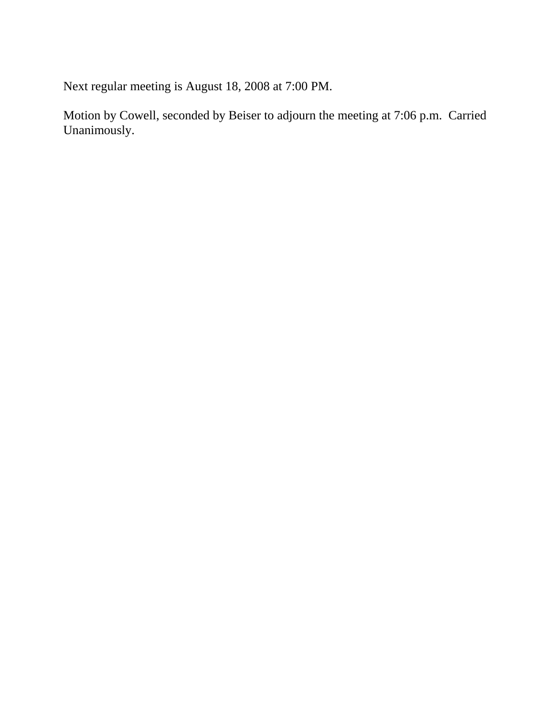Next regular meeting is August 18, 2008 at 7:00 PM.

Motion by Cowell, seconded by Beiser to adjourn the meeting at 7:06 p.m. Carried Unanimously.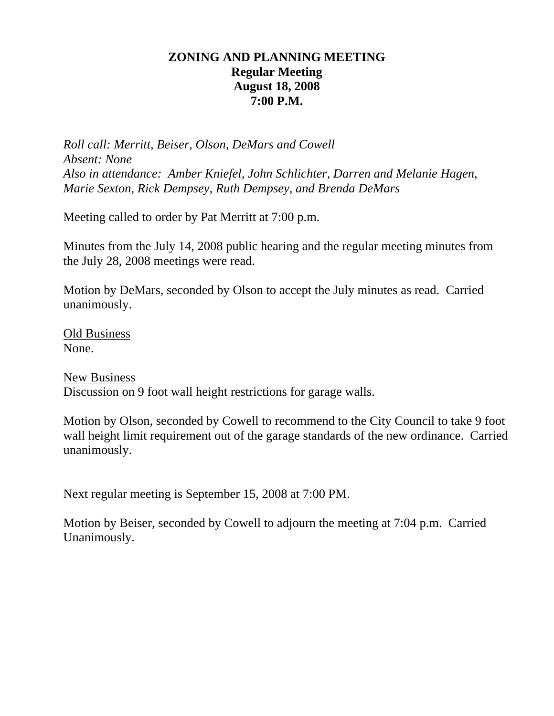## **ZONING AND PLANNING MEETING Regular Meeting August 18, 2008 7:00 P.M.**

*Roll call: Merritt, Beiser, Olson, DeMars and Cowell Absent: None Also in attendance: Amber Kniefel, John Schlichter, Darren and Melanie Hagen, Marie Sexton, Rick Dempsey, Ruth Dempsey, and Brenda DeMars* 

Meeting called to order by Pat Merritt at 7:00 p.m.

Minutes from the July 14, 2008 public hearing and the regular meeting minutes from the July 28, 2008 meetings were read.

Motion by DeMars, seconded by Olson to accept the July minutes as read. Carried unanimously.

Old Business None.

New Business Discussion on 9 foot wall height restrictions for garage walls.

Motion by Olson, seconded by Cowell to recommend to the City Council to take 9 foot wall height limit requirement out of the garage standards of the new ordinance. Carried unanimously.

Next regular meeting is September 15, 2008 at 7:00 PM.

Motion by Beiser, seconded by Cowell to adjourn the meeting at 7:04 p.m. Carried Unanimously.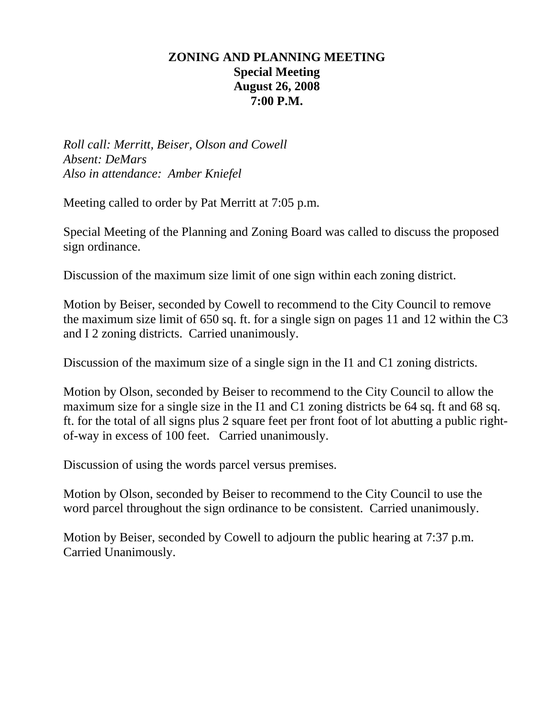## **ZONING AND PLANNING MEETING Special Meeting August 26, 2008 7:00 P.M.**

*Roll call: Merritt, Beiser, Olson and Cowell Absent: DeMars Also in attendance: Amber Kniefel* 

Meeting called to order by Pat Merritt at 7:05 p.m.

Special Meeting of the Planning and Zoning Board was called to discuss the proposed sign ordinance.

Discussion of the maximum size limit of one sign within each zoning district.

Motion by Beiser, seconded by Cowell to recommend to the City Council to remove the maximum size limit of 650 sq. ft. for a single sign on pages 11 and 12 within the C3 and I 2 zoning districts. Carried unanimously.

Discussion of the maximum size of a single sign in the I1 and C1 zoning districts.

Motion by Olson, seconded by Beiser to recommend to the City Council to allow the maximum size for a single size in the I1 and C1 zoning districts be 64 sq. ft and 68 sq. ft. for the total of all signs plus 2 square feet per front foot of lot abutting a public rightof-way in excess of 100 feet. Carried unanimously.

Discussion of using the words parcel versus premises.

Motion by Olson, seconded by Beiser to recommend to the City Council to use the word parcel throughout the sign ordinance to be consistent. Carried unanimously.

Motion by Beiser, seconded by Cowell to adjourn the public hearing at 7:37 p.m. Carried Unanimously.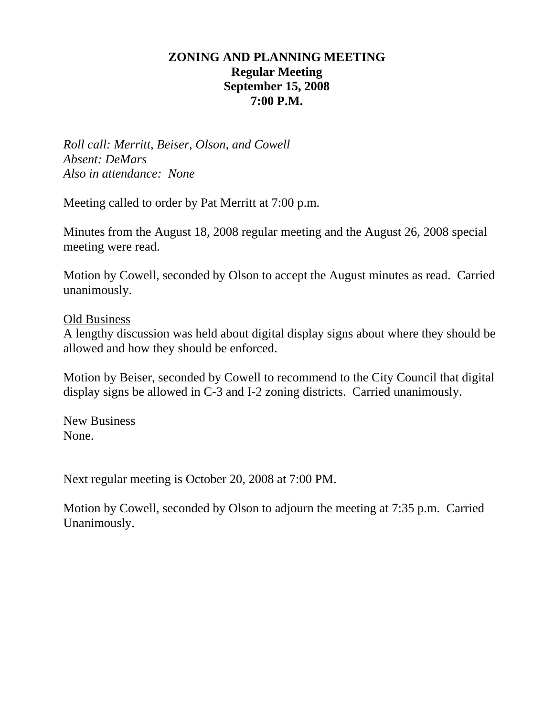## **ZONING AND PLANNING MEETING Regular Meeting September 15, 2008 7:00 P.M.**

*Roll call: Merritt, Beiser, Olson, and Cowell Absent: DeMars Also in attendance: None* 

Meeting called to order by Pat Merritt at 7:00 p.m.

Minutes from the August 18, 2008 regular meeting and the August 26, 2008 special meeting were read.

Motion by Cowell, seconded by Olson to accept the August minutes as read. Carried unanimously.

#### Old Business

A lengthy discussion was held about digital display signs about where they should be allowed and how they should be enforced.

Motion by Beiser, seconded by Cowell to recommend to the City Council that digital display signs be allowed in C-3 and I-2 zoning districts. Carried unanimously.

New Business None.

Next regular meeting is October 20, 2008 at 7:00 PM.

Motion by Cowell, seconded by Olson to adjourn the meeting at 7:35 p.m. Carried Unanimously.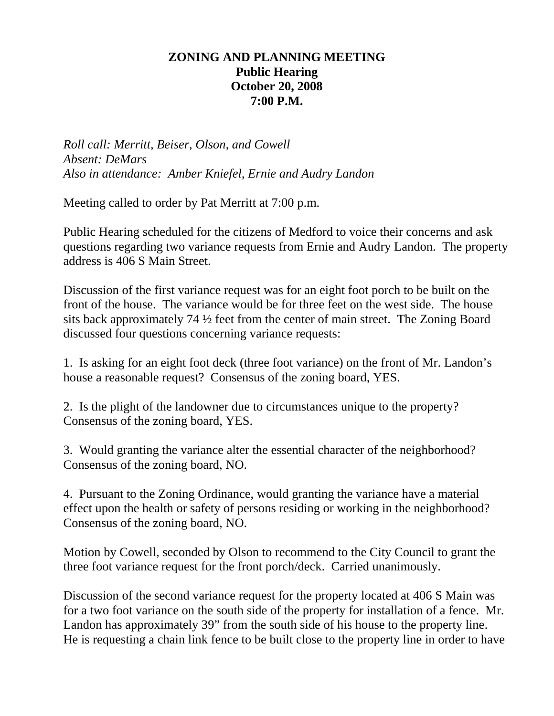## **ZONING AND PLANNING MEETING Public Hearing October 20, 2008 7:00 P.M.**

*Roll call: Merritt, Beiser, Olson, and Cowell Absent: DeMars Also in attendance: Amber Kniefel, Ernie and Audry Landon* 

Meeting called to order by Pat Merritt at 7:00 p.m.

Public Hearing scheduled for the citizens of Medford to voice their concerns and ask questions regarding two variance requests from Ernie and Audry Landon. The property address is 406 S Main Street.

Discussion of the first variance request was for an eight foot porch to be built on the front of the house. The variance would be for three feet on the west side. The house sits back approximately 74 ½ feet from the center of main street. The Zoning Board discussed four questions concerning variance requests:

1. Is asking for an eight foot deck (three foot variance) on the front of Mr. Landon's house a reasonable request? Consensus of the zoning board, YES.

2. Is the plight of the landowner due to circumstances unique to the property? Consensus of the zoning board, YES.

3. Would granting the variance alter the essential character of the neighborhood? Consensus of the zoning board, NO.

4. Pursuant to the Zoning Ordinance, would granting the variance have a material effect upon the health or safety of persons residing or working in the neighborhood? Consensus of the zoning board, NO.

Motion by Cowell, seconded by Olson to recommend to the City Council to grant the three foot variance request for the front porch/deck. Carried unanimously.

Discussion of the second variance request for the property located at 406 S Main was for a two foot variance on the south side of the property for installation of a fence. Mr. Landon has approximately 39" from the south side of his house to the property line. He is requesting a chain link fence to be built close to the property line in order to have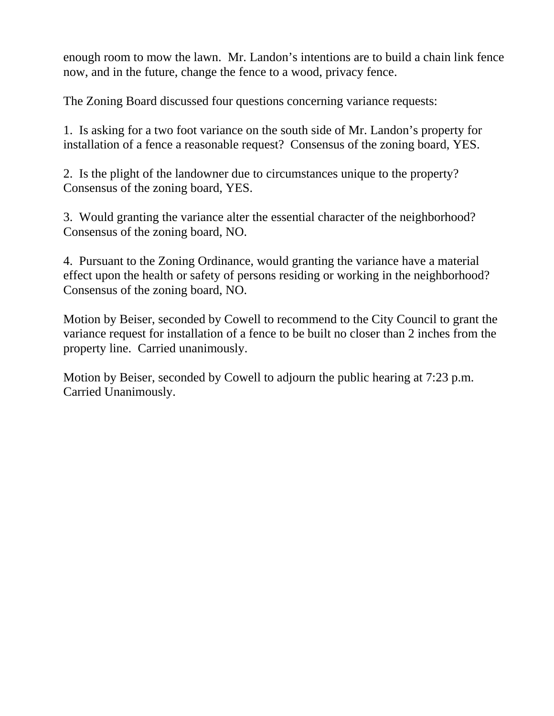enough room to mow the lawn. Mr. Landon's intentions are to build a chain link fence now, and in the future, change the fence to a wood, privacy fence.

The Zoning Board discussed four questions concerning variance requests:

1. Is asking for a two foot variance on the south side of Mr. Landon's property for installation of a fence a reasonable request? Consensus of the zoning board, YES.

2. Is the plight of the landowner due to circumstances unique to the property? Consensus of the zoning board, YES.

3. Would granting the variance alter the essential character of the neighborhood? Consensus of the zoning board, NO.

4. Pursuant to the Zoning Ordinance, would granting the variance have a material effect upon the health or safety of persons residing or working in the neighborhood? Consensus of the zoning board, NO.

Motion by Beiser, seconded by Cowell to recommend to the City Council to grant the variance request for installation of a fence to be built no closer than 2 inches from the property line. Carried unanimously.

Motion by Beiser, seconded by Cowell to adjourn the public hearing at 7:23 p.m. Carried Unanimously.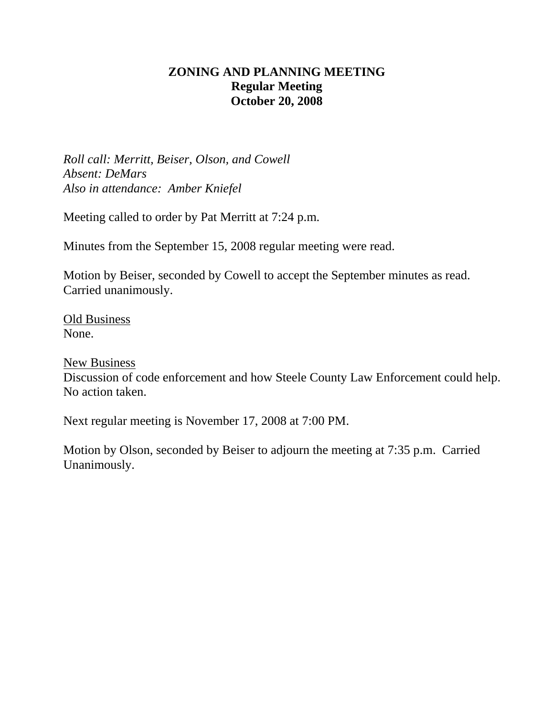# **ZONING AND PLANNING MEETING Regular Meeting October 20, 2008**

*Roll call: Merritt, Beiser, Olson, and Cowell Absent: DeMars Also in attendance: Amber Kniefel* 

Meeting called to order by Pat Merritt at 7:24 p.m.

Minutes from the September 15, 2008 regular meeting were read.

Motion by Beiser, seconded by Cowell to accept the September minutes as read. Carried unanimously.

Old Business None.

New Business

Discussion of code enforcement and how Steele County Law Enforcement could help. No action taken.

Next regular meeting is November 17, 2008 at 7:00 PM.

Motion by Olson, seconded by Beiser to adjourn the meeting at 7:35 p.m. Carried Unanimously.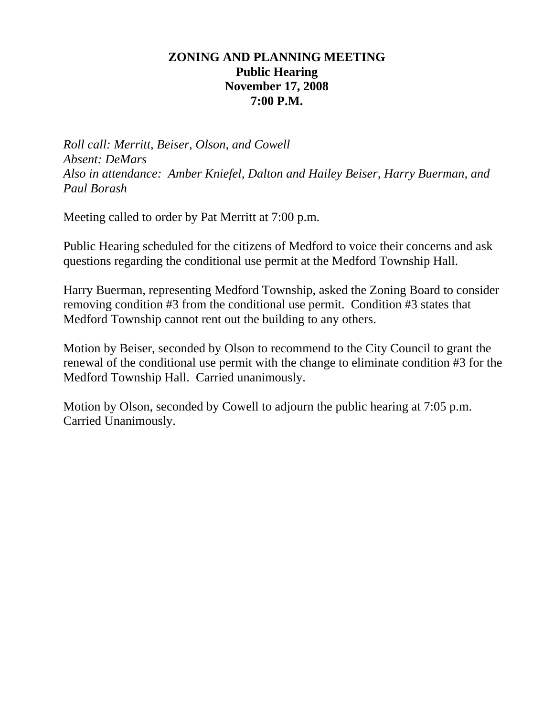#### **ZONING AND PLANNING MEETING Public Hearing November 17, 2008 7:00 P.M.**

*Roll call: Merritt, Beiser, Olson, and Cowell Absent: DeMars Also in attendance: Amber Kniefel, Dalton and Hailey Beiser, Harry Buerman, and Paul Borash* 

Meeting called to order by Pat Merritt at 7:00 p.m.

Public Hearing scheduled for the citizens of Medford to voice their concerns and ask questions regarding the conditional use permit at the Medford Township Hall.

Harry Buerman, representing Medford Township, asked the Zoning Board to consider removing condition #3 from the conditional use permit. Condition #3 states that Medford Township cannot rent out the building to any others.

Motion by Beiser, seconded by Olson to recommend to the City Council to grant the renewal of the conditional use permit with the change to eliminate condition #3 for the Medford Township Hall. Carried unanimously.

Motion by Olson, seconded by Cowell to adjourn the public hearing at 7:05 p.m. Carried Unanimously.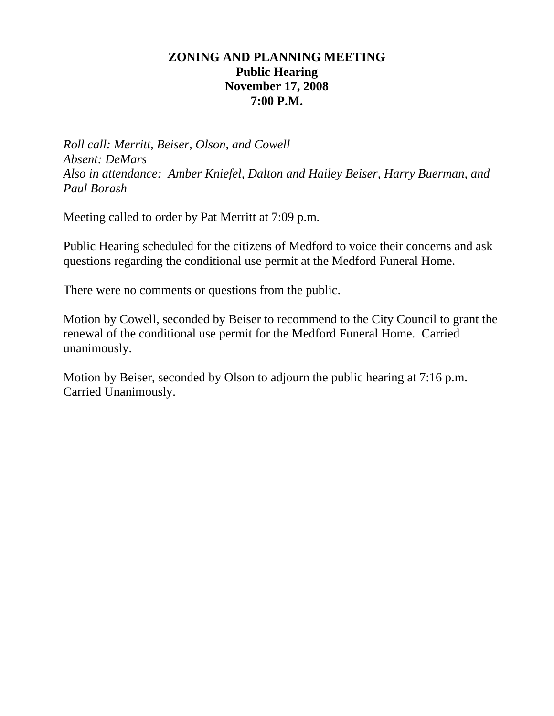## **ZONING AND PLANNING MEETING Public Hearing November 17, 2008 7:00 P.M.**

*Roll call: Merritt, Beiser, Olson, and Cowell Absent: DeMars Also in attendance: Amber Kniefel, Dalton and Hailey Beiser, Harry Buerman, and Paul Borash* 

Meeting called to order by Pat Merritt at 7:09 p.m.

Public Hearing scheduled for the citizens of Medford to voice their concerns and ask questions regarding the conditional use permit at the Medford Funeral Home.

There were no comments or questions from the public.

Motion by Cowell, seconded by Beiser to recommend to the City Council to grant the renewal of the conditional use permit for the Medford Funeral Home. Carried unanimously.

Motion by Beiser, seconded by Olson to adjourn the public hearing at 7:16 p.m. Carried Unanimously.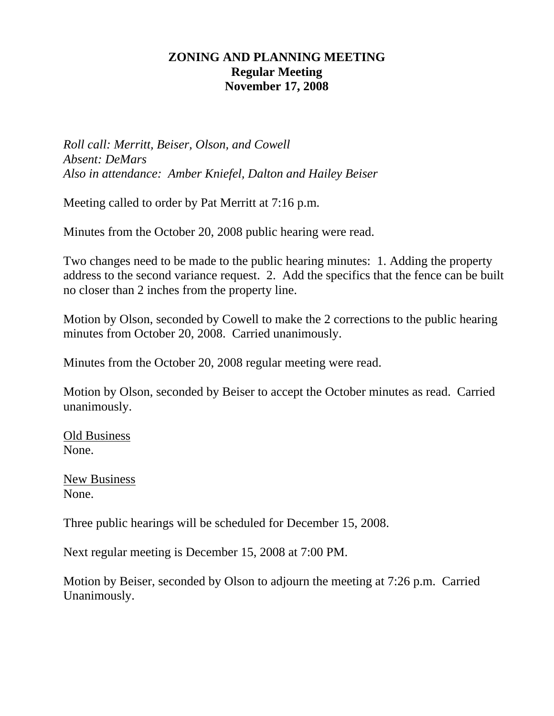#### **ZONING AND PLANNING MEETING Regular Meeting November 17, 2008**

*Roll call: Merritt, Beiser, Olson, and Cowell Absent: DeMars Also in attendance: Amber Kniefel, Dalton and Hailey Beiser* 

Meeting called to order by Pat Merritt at 7:16 p.m.

Minutes from the October 20, 2008 public hearing were read.

Two changes need to be made to the public hearing minutes: 1. Adding the property address to the second variance request. 2. Add the specifics that the fence can be built no closer than 2 inches from the property line.

Motion by Olson, seconded by Cowell to make the 2 corrections to the public hearing minutes from October 20, 2008. Carried unanimously.

Minutes from the October 20, 2008 regular meeting were read.

Motion by Olson, seconded by Beiser to accept the October minutes as read. Carried unanimously.

Old Business None.

New Business None.

Three public hearings will be scheduled for December 15, 2008.

Next regular meeting is December 15, 2008 at 7:00 PM.

Motion by Beiser, seconded by Olson to adjourn the meeting at 7:26 p.m. Carried Unanimously.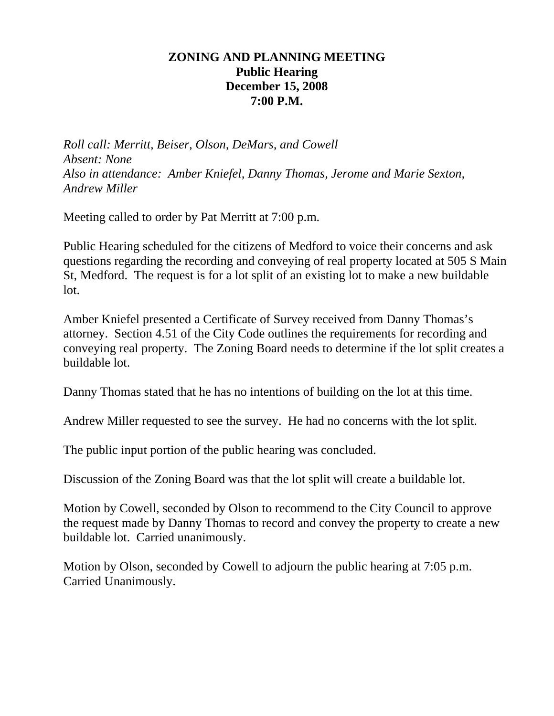#### **ZONING AND PLANNING MEETING Public Hearing December 15, 2008 7:00 P.M.**

*Roll call: Merritt, Beiser, Olson, DeMars, and Cowell Absent: None Also in attendance: Amber Kniefel, Danny Thomas, Jerome and Marie Sexton, Andrew Miller* 

Meeting called to order by Pat Merritt at 7:00 p.m.

Public Hearing scheduled for the citizens of Medford to voice their concerns and ask questions regarding the recording and conveying of real property located at 505 S Main St, Medford. The request is for a lot split of an existing lot to make a new buildable lot.

Amber Kniefel presented a Certificate of Survey received from Danny Thomas's attorney. Section 4.51 of the City Code outlines the requirements for recording and conveying real property. The Zoning Board needs to determine if the lot split creates a buildable lot.

Danny Thomas stated that he has no intentions of building on the lot at this time.

Andrew Miller requested to see the survey. He had no concerns with the lot split.

The public input portion of the public hearing was concluded.

Discussion of the Zoning Board was that the lot split will create a buildable lot.

Motion by Cowell, seconded by Olson to recommend to the City Council to approve the request made by Danny Thomas to record and convey the property to create a new buildable lot. Carried unanimously.

Motion by Olson, seconded by Cowell to adjourn the public hearing at 7:05 p.m. Carried Unanimously.